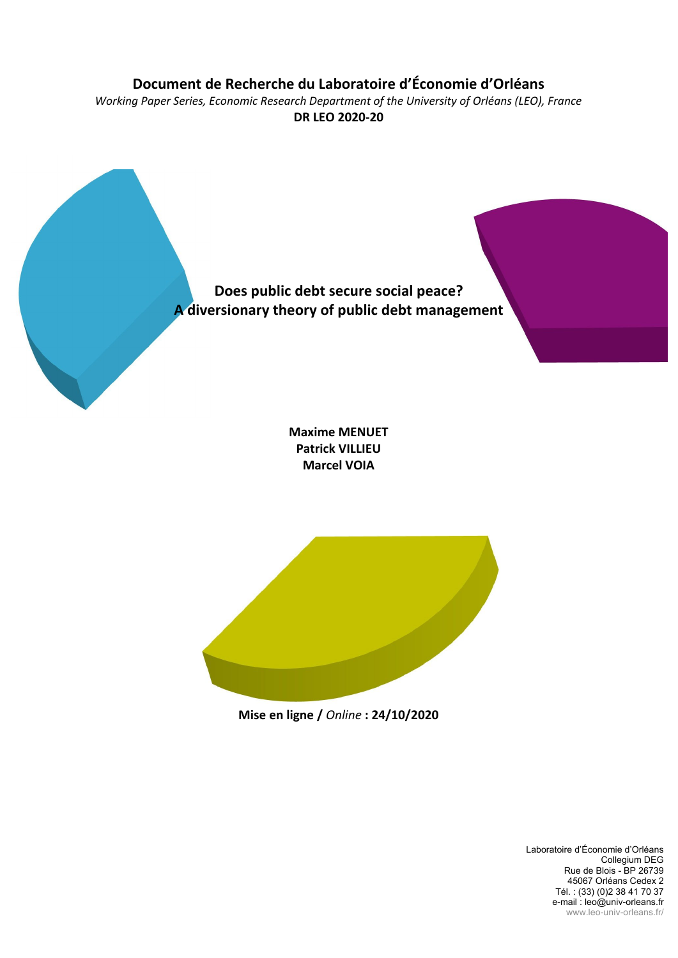## **Document de Recherche du Laboratoire d'Économie d'Orléans**

*Working Paper Series, Economic Research Department of the University of Orléans (LEO), France* **DR LEO 2020-20**



**Patrick VILLIEU Marcel VOIA**



**Mise en ligne /** *Online* **: 24/10/2020**

Laboratoire d'Économie d'Orléans Collegium DEG Rue de Blois - BP 26739 45067 Orléans Cedex 2 Tél. : (33) (0)2 38 41 70 37 e-mail : leo@univ-orleans.fr www.leo-univ-orleans.fr/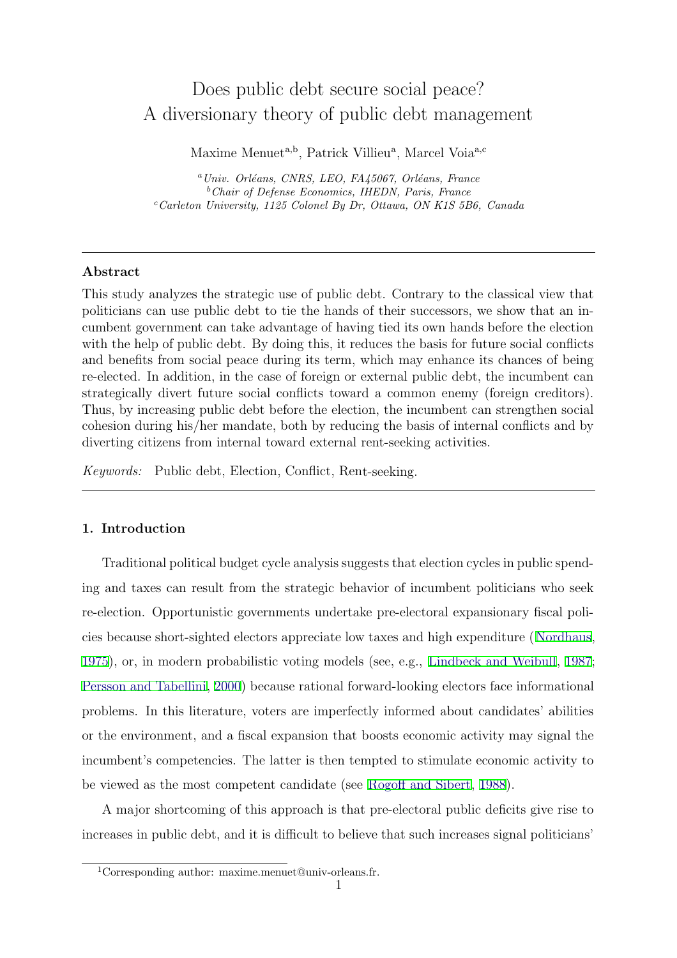# Does public debt secure social peace? A diversionary theory of public debt management

Maxime Menuet<sup>a,b</sup>, Patrick Villieu<sup>a</sup>, Marcel Voia<sup>a,c</sup>

<sup>a</sup> Univ. Orléans, CNRS, LEO, FA45067, Orléans, France <sup>b</sup>Chair of Defense Economics, IHEDN, Paris, France  $c$ <sup>c</sup>Carleton University, 1125 Colonel By Dr, Ottawa, ON K1S 5B6, Canada

#### Abstract

This study analyzes the strategic use of public debt. Contrary to the classical view that politicians can use public debt to tie the hands of their successors, we show that an incumbent government can take advantage of having tied its own hands before the election with the help of public debt. By doing this, it reduces the basis for future social conflicts and benefits from social peace during its term, which may enhance its chances of being re-elected. In addition, in the case of foreign or external public debt, the incumbent can strategically divert future social conflicts toward a common enemy (foreign creditors). Thus, by increasing public debt before the election, the incumbent can strengthen social cohesion during his/her mandate, both by reducing the basis of internal conflicts and by diverting citizens from internal toward external rent-seeking activities.

Keywords: Public debt, Election, Conflict, Rent-seeking.

## 1. Introduction

Traditional political budget cycle analysis suggests that election cycles in public spending and taxes can result from the strategic behavior of incumbent politicians who seek re-election. Opportunistic governments undertake pre-electoral expansionary fiscal policies because short-sighted electors appreciate low taxes and high expenditure (Nordhaus, 1975), or, in modern probabilistic voting models (see, e.g., Lindbeck and Weibull, 1987; Persson and Tabellini, 2000) because rational forward-looking electors face informational problems. In this literature, voters are imperfectly informed about candidates' abilities or the environment, and a fiscal expansion that boosts economic activity may signal the incumbent's competencies. The latter is then tempted to stimulate economic activity to be viewed as the most competent candidate (see Rogoff and Sibert, 1988).

A major shortcoming of this approach is that pre-electoral public deficits give rise to increases in public debt, and it is difficult to believe that such increases signal politicians'

<sup>&</sup>lt;sup>1</sup>Corresponding author: maxime.menuet@univ-orleans.fr.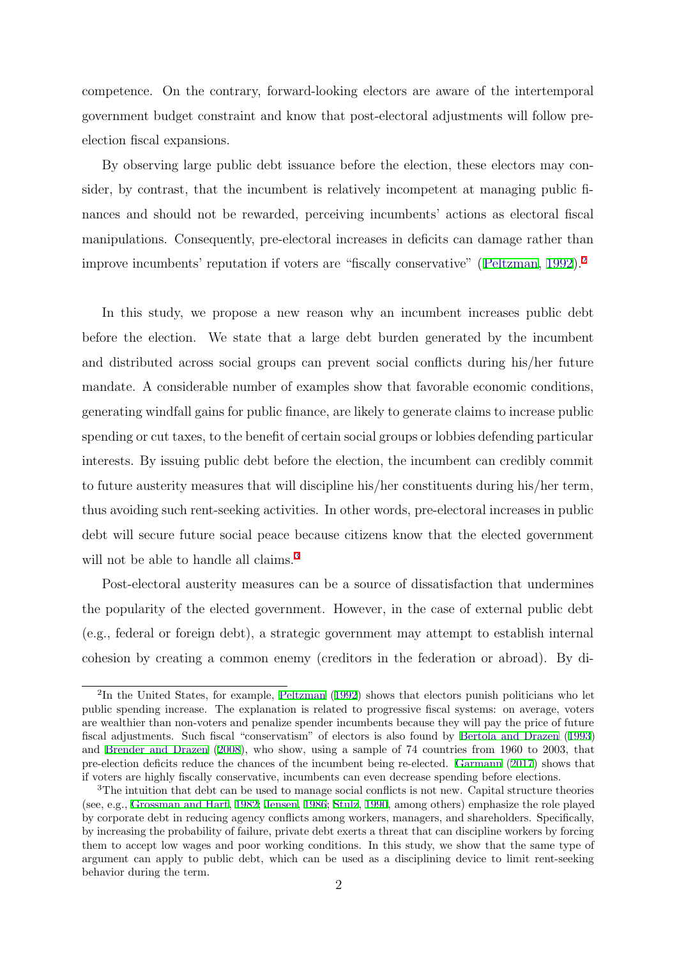competence. On the contrary, forward-looking electors are aware of the intertemporal government budget constraint and know that post-electoral adjustments will follow preelection fiscal expansions.

By observing large public debt issuance before the election, these electors may consider, by contrast, that the incumbent is relatively incompetent at managing public finances and should not be rewarded, perceiving incumbents' actions as electoral fiscal manipulations. Consequently, pre-electoral increases in deficits can damage rather than improve incumbents' reputation if voters are "fiscally conservative" (Peltzman, 1992).<sup>2</sup>

In this study, we propose a new reason why an incumbent increases public debt before the election. We state that a large debt burden generated by the incumbent and distributed across social groups can prevent social conflicts during his/her future mandate. A considerable number of examples show that favorable economic conditions, generating windfall gains for public finance, are likely to generate claims to increase public spending or cut taxes, to the benefit of certain social groups or lobbies defending particular interests. By issuing public debt before the election, the incumbent can credibly commit to future austerity measures that will discipline his/her constituents during his/her term, thus avoiding such rent-seeking activities. In other words, pre-electoral increases in public debt will secure future social peace because citizens know that the elected government will not be able to handle all claims.<sup>3</sup>

Post-electoral austerity measures can be a source of dissatisfaction that undermines the popularity of the elected government. However, in the case of external public debt (e.g., federal or foreign debt), a strategic government may attempt to establish internal cohesion by creating a common enemy (creditors in the federation or abroad). By di-

<sup>2</sup>In the United States, for example, Peltzman (1992) shows that electors punish politicians who let public spending increase. The explanation is related to progressive fiscal systems: on average, voters are wealthier than non-voters and penalize spender incumbents because they will pay the price of future fiscal adjustments. Such fiscal "conservatism" of electors is also found by Bertola and Drazen (1993) and Brender and Drazen (2008), who show, using a sample of 74 countries from 1960 to 2003, that pre-election deficits reduce the chances of the incumbent being re-elected. Garmann (2017) shows that if voters are highly fiscally conservative, incumbents can even decrease spending before elections.

<sup>&</sup>lt;sup>3</sup>The intuition that debt can be used to manage social conflicts is not new. Capital structure theories (see, e.g., Grossman and Hart, 1982; Jensen, 1986; Stulz, 1990, among others) emphasize the role played by corporate debt in reducing agency conflicts among workers, managers, and shareholders. Specifically, by increasing the probability of failure, private debt exerts a threat that can discipline workers by forcing them to accept low wages and poor working conditions. In this study, we show that the same type of argument can apply to public debt, which can be used as a disciplining device to limit rent-seeking behavior during the term.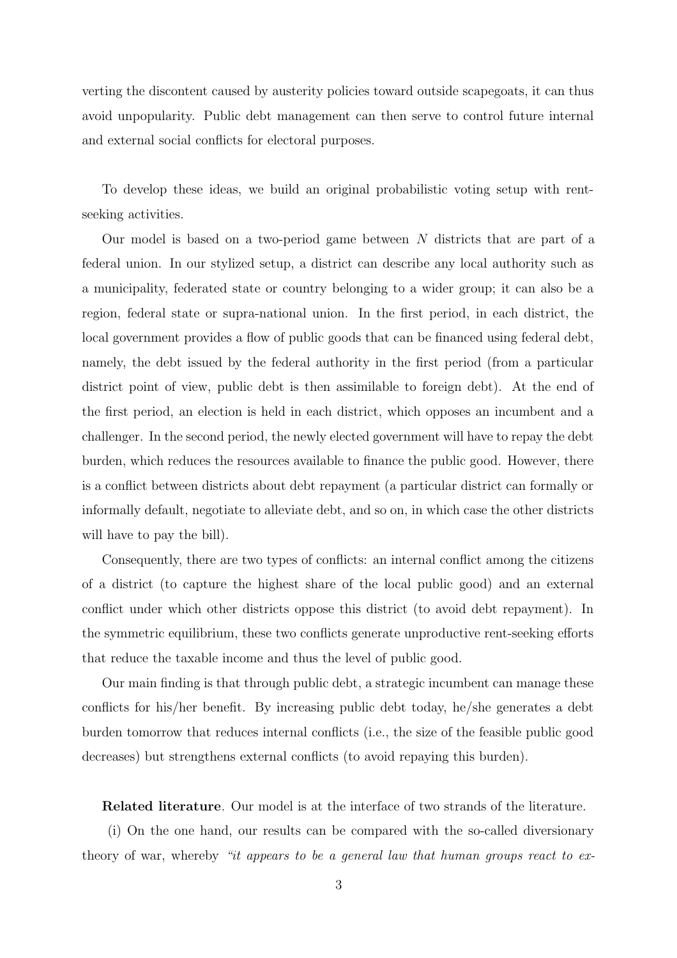verting the discontent caused by austerity policies toward outside scapegoats, it can thus avoid unpopularity. Public debt management can then serve to control future internal and external social conflicts for electoral purposes.

To develop these ideas, we build an original probabilistic voting setup with rentseeking activities.

Our model is based on a two-period game between  $N$  districts that are part of a federal union. In our stylized setup, a district can describe any local authority such as a municipality, federated state or country belonging to a wider group; it can also be a region, federal state or supra-national union. In the first period, in each district, the local government provides a flow of public goods that can be financed using federal debt, namely, the debt issued by the federal authority in the first period (from a particular district point of view, public debt is then assimilable to foreign debt). At the end of the first period, an election is held in each district, which opposes an incumbent and a challenger. In the second period, the newly elected government will have to repay the debt burden, which reduces the resources available to finance the public good. However, there is a conflict between districts about debt repayment (a particular district can formally or informally default, negotiate to alleviate debt, and so on, in which case the other districts will have to pay the bill).

Consequently, there are two types of conflicts: an internal conflict among the citizens of a district (to capture the highest share of the local public good) and an external conflict under which other districts oppose this district (to avoid debt repayment). In the symmetric equilibrium, these two conflicts generate unproductive rent-seeking efforts that reduce the taxable income and thus the level of public good.

Our main finding is that through public debt, a strategic incumbent can manage these conflicts for his/her benefit. By increasing public debt today, he/she generates a debt burden tomorrow that reduces internal conflicts (i.e., the size of the feasible public good decreases) but strengthens external conflicts (to avoid repaying this burden).

Related literature. Our model is at the interface of two strands of the literature.

(i) On the one hand, our results can be compared with the so-called diversionary theory of war, whereby "it appears to be a general law that human groups react to ex-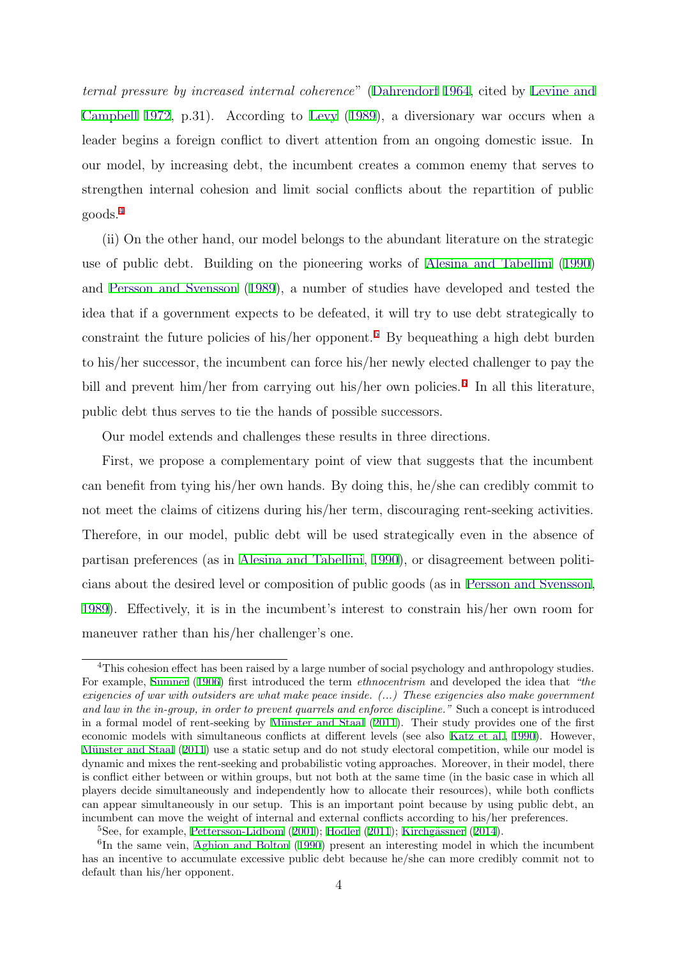ternal pressure by increased internal coherence" (Dahrendorf 1964, cited by Levine and Campbell 1972, p.31). According to Levy (1989), a diversionary war occurs when a leader begins a foreign conflict to divert attention from an ongoing domestic issue. In our model, by increasing debt, the incumbent creates a common enemy that serves to strengthen internal cohesion and limit social conflicts about the repartition of public goods.<sup>4</sup>

(ii) On the other hand, our model belongs to the abundant literature on the strategic use of public debt. Building on the pioneering works of Alesina and Tabellini (1990) and Persson and Svensson (1989), a number of studies have developed and tested the idea that if a government expects to be defeated, it will try to use debt strategically to constraint the future policies of his/her opponent.<sup>5</sup> By bequeathing a high debt burden to his/her successor, the incumbent can force his/her newly elected challenger to pay the bill and prevent him/her from carrying out his/her own policies.<sup>6</sup> In all this literature, public debt thus serves to tie the hands of possible successors.

Our model extends and challenges these results in three directions.

First, we propose a complementary point of view that suggests that the incumbent can benefit from tying his/her own hands. By doing this, he/she can credibly commit to not meet the claims of citizens during his/her term, discouraging rent-seeking activities. Therefore, in our model, public debt will be used strategically even in the absence of partisan preferences (as in Alesina and Tabellini, 1990), or disagreement between politicians about the desired level or composition of public goods (as in Persson and Svensson, 1989). Effectively, it is in the incumbent's interest to constrain his/her own room for maneuver rather than his/her challenger's one.

<sup>&</sup>lt;sup>4</sup>This cohesion effect has been raised by a large number of social psychology and anthropology studies. For example, Sumner (1906) first introduced the term *ethnocentrism* and developed the idea that "the exigencies of war with outsiders are what make peace inside. (...) These exigencies also make government and law in the in-group, in order to prevent quarrels and enforce discipline." Such a concept is introduced in a formal model of rent-seeking by Münster and Staal (2011). Their study provides one of the first economic models with simultaneous conflicts at different levels (see also Katz et al., 1990). However, Münster and Staal (2011) use a static setup and do not study electoral competition, while our model is dynamic and mixes the rent-seeking and probabilistic voting approaches. Moreover, in their model, there is conflict either between or within groups, but not both at the same time (in the basic case in which all players decide simultaneously and independently how to allocate their resources), while both conflicts can appear simultaneously in our setup. This is an important point because by using public debt, an incumbent can move the weight of internal and external conflicts according to his/her preferences.

 ${}^{5}$ See, for example, Pettersson-Lidbom (2001); Hodler (2011); Kirchgässner (2014).

 ${}^{6}$ In the same vein, Aghion and Bolton (1990) present an interesting model in which the incumbent has an incentive to accumulate excessive public debt because he/she can more credibly commit not to default than his/her opponent.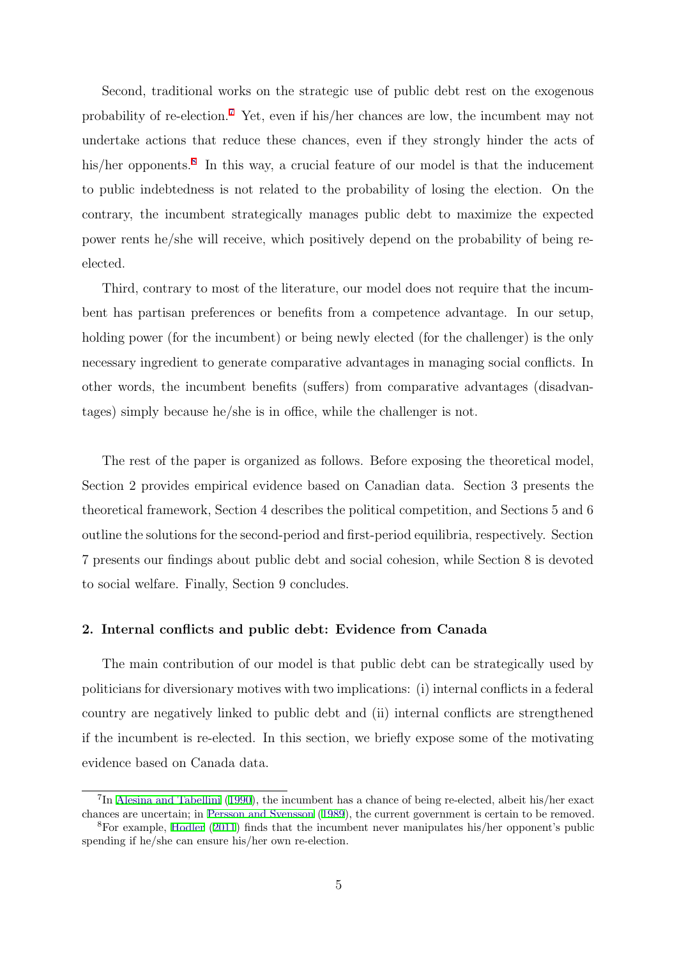Second, traditional works on the strategic use of public debt rest on the exogenous probability of re-election.<sup>7</sup> Yet, even if his/her chances are low, the incumbent may not undertake actions that reduce these chances, even if they strongly hinder the acts of his/her opponents.<sup>8</sup> In this way, a crucial feature of our model is that the inducement to public indebtedness is not related to the probability of losing the election. On the contrary, the incumbent strategically manages public debt to maximize the expected power rents he/she will receive, which positively depend on the probability of being reelected.

Third, contrary to most of the literature, our model does not require that the incumbent has partisan preferences or benefits from a competence advantage. In our setup, holding power (for the incumbent) or being newly elected (for the challenger) is the only necessary ingredient to generate comparative advantages in managing social conflicts. In other words, the incumbent benefits (suffers) from comparative advantages (disadvantages) simply because he/she is in office, while the challenger is not.

The rest of the paper is organized as follows. Before exposing the theoretical model, Section 2 provides empirical evidence based on Canadian data. Section 3 presents the theoretical framework, Section 4 describes the political competition, and Sections 5 and 6 outline the solutions for the second-period and first-period equilibria, respectively. Section 7 presents our findings about public debt and social cohesion, while Section 8 is devoted to social welfare. Finally, Section 9 concludes.

#### 2. Internal conflicts and public debt: Evidence from Canada

The main contribution of our model is that public debt can be strategically used by politicians for diversionary motives with two implications: (i) internal conflicts in a federal country are negatively linked to public debt and (ii) internal conflicts are strengthened if the incumbent is re-elected. In this section, we briefly expose some of the motivating evidence based on Canada data.

<sup>7</sup>In Alesina and Tabellini (1990), the incumbent has a chance of being re-elected, albeit his/her exact chances are uncertain; in Persson and Svensson (1989), the current government is certain to be removed.

<sup>8</sup>For example, Hodler (2011) finds that the incumbent never manipulates his/her opponent's public spending if he/she can ensure his/her own re-election.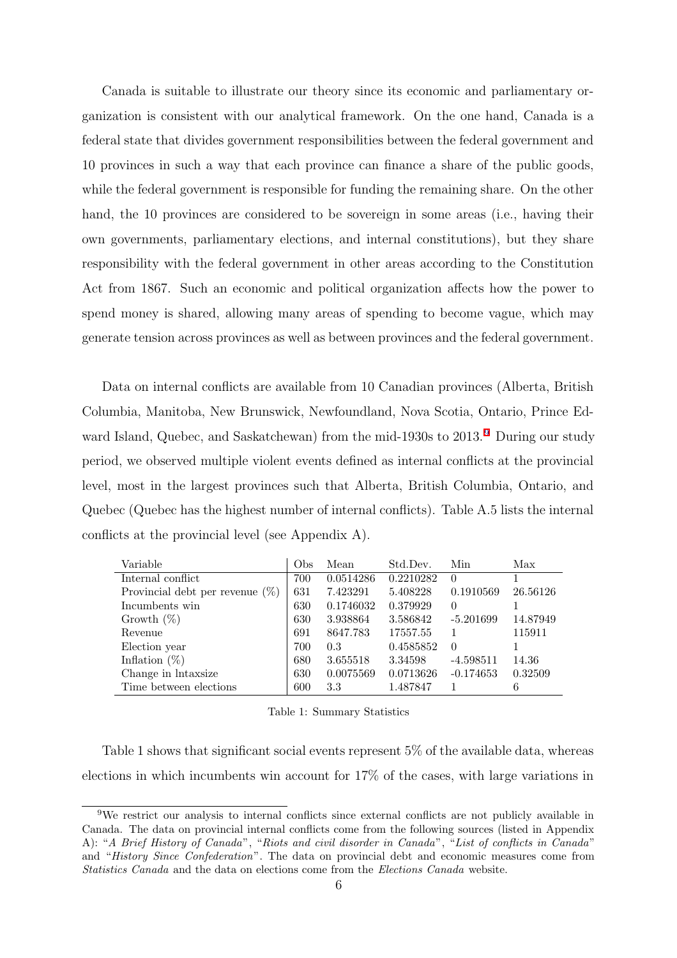Canada is suitable to illustrate our theory since its economic and parliamentary organization is consistent with our analytical framework. On the one hand, Canada is a federal state that divides government responsibilities between the federal government and 10 provinces in such a way that each province can finance a share of the public goods, while the federal government is responsible for funding the remaining share. On the other hand, the 10 provinces are considered to be sovereign in some areas (i.e., having their own governments, parliamentary elections, and internal constitutions), but they share responsibility with the federal government in other areas according to the Constitution Act from 1867. Such an economic and political organization affects how the power to spend money is shared, allowing many areas of spending to become vague, which may generate tension across provinces as well as between provinces and the federal government.

Data on internal conflicts are available from 10 Canadian provinces (Alberta, British Columbia, Manitoba, New Brunswick, Newfoundland, Nova Scotia, Ontario, Prince Edward Island, Quebec, and Saskatchewan) from the mid-1930s to 2013. <sup>9</sup> During our study period, we observed multiple violent events defined as internal conflicts at the provincial level, most in the largest provinces such that Alberta, British Columbia, Ontario, and Quebec (Quebec has the highest number of internal conflicts). Table A.5 lists the internal conflicts at the provincial level (see Appendix A).

| Variable                           | Obs | Mean      | Std.Dev.  | Min         | Max      |
|------------------------------------|-----|-----------|-----------|-------------|----------|
| Internal conflict                  | 700 | 0.0514286 | 0.2210282 | $\Omega$    |          |
| Provincial debt per revenue $(\%)$ | 631 | 7.423291  | 5.408228  | 0.1910569   | 26.56126 |
| Incumbents win                     | 630 | 0.1746032 | 0.379929  | $\theta$    |          |
| Growth $(\%)$                      | 630 | 3.938864  | 3.586842  | $-5.201699$ | 14.87949 |
| Revenue                            | 691 | 8647.783  | 17557.55  |             | 115911   |
| Election year                      | 700 | 0.3       | 0.4585852 | $\Omega$    |          |
| Inflation $(\%)$                   | 680 | 3.655518  | 3.34598   | $-4.598511$ | 14.36    |
| Change in lntaxsize                | 630 | 0.0075569 | 0.0713626 | $-0.174653$ | 0.32509  |
| Time between elections             | 600 | 3.3       | 1.487847  |             |          |

Table 1: Summary Statistics

Table 1 shows that significant social events represent 5% of the available data, whereas elections in which incumbents win account for 17% of the cases, with large variations in

<sup>9</sup>We restrict our analysis to internal conflicts since external conflicts are not publicly available in Canada. The data on provincial internal conflicts come from the following sources (listed in Appendix A): "A Brief History of Canada", "Riots and civil disorder in Canada", "List of conflicts in Canada" and "History Since Confederation". The data on provincial debt and economic measures come from Statistics Canada and the data on elections come from the Elections Canada website.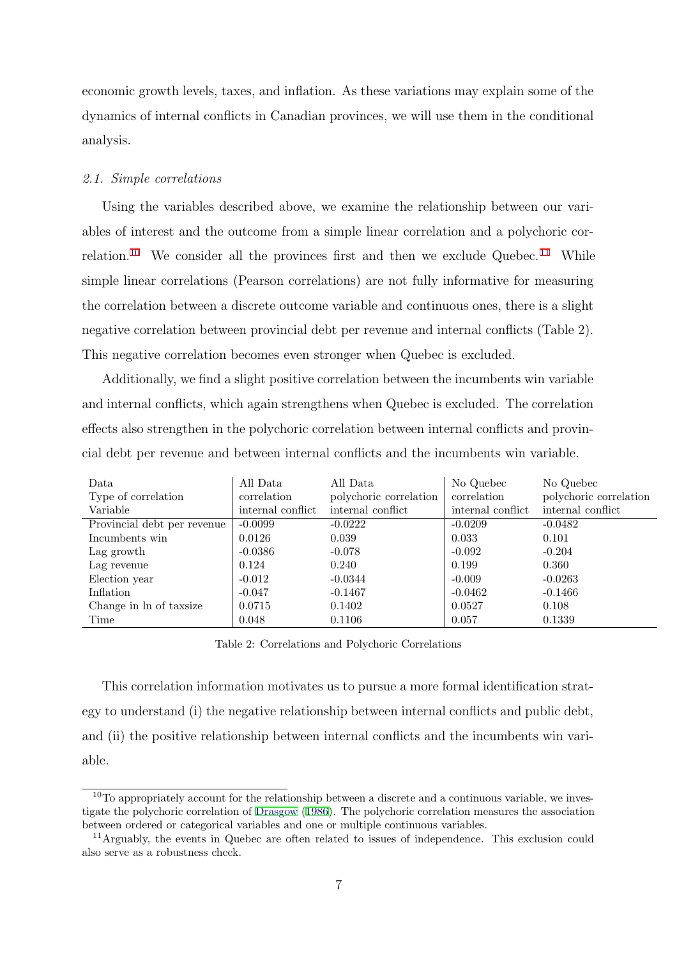economic growth levels, taxes, and inflation. As these variations may explain some of the dynamics of internal conflicts in Canadian provinces, we will use them in the conditional analysis.

#### 2.1. Simple correlations

Using the variables described above, we examine the relationship between our variables of interest and the outcome from a simple linear correlation and a polychoric correlation.<sup>10</sup> We consider all the provinces first and then we exclude Quebec.<sup>11</sup> While simple linear correlations (Pearson correlations) are not fully informative for measuring the correlation between a discrete outcome variable and continuous ones, there is a slight negative correlation between provincial debt per revenue and internal conflicts (Table 2). This negative correlation becomes even stronger when Quebec is excluded.

Additionally, we find a slight positive correlation between the incumbents win variable and internal conflicts, which again strengthens when Quebec is excluded. The correlation effects also strengthen in the polychoric correlation between internal conflicts and provincial debt per revenue and between internal conflicts and the incumbents win variable.

| Data                        | All Data          | All Data               | No Quebec         | No Quebec              |
|-----------------------------|-------------------|------------------------|-------------------|------------------------|
| Type of correlation         | correlation       | polychoric correlation | correlation       | polychoric correlation |
| Variable                    | internal conflict | internal conflict      | internal conflict | internal conflict      |
| Provincial debt per revenue | $-0.0099$         | $-0.0222$              | $-0.0209$         | $-0.0482$              |
| Incumbents win              | 0.0126            | 0.039                  | 0.033             | 0.101                  |
| Lag growth                  | $-0.0386$         | $-0.078$               | $-0.092$          | $-0.204$               |
| Lag revenue                 | 0.124             | 0.240                  | 0.199             | 0.360                  |
| Election year               | $-0.012$          | $-0.0344$              | $-0.009$          | $-0.0263$              |
| Inflation                   | $-0.047$          | $-0.1467$              | $-0.0462$         | $-0.1466$              |
| Change in ln of taxsize     | 0.0715            | 0.1402                 | 0.0527            | 0.108                  |
| Time                        | 0.048             | 0.1106                 | 0.057             | 0.1339                 |

Table 2: Correlations and Polychoric Correlations

This correlation information motivates us to pursue a more formal identification strategy to understand (i) the negative relationship between internal conflicts and public debt, and (ii) the positive relationship between internal conflicts and the incumbents win variable.

<sup>&</sup>lt;sup>10</sup>To appropriately account for the relationship between a discrete and a continuous variable, we investigate the polychoric correlation of Drasgow (1986). The polychoric correlation measures the association between ordered or categorical variables and one or multiple continuous variables.

<sup>&</sup>lt;sup>11</sup>Arguably, the events in Quebec are often related to issues of independence. This exclusion could also serve as a robustness check.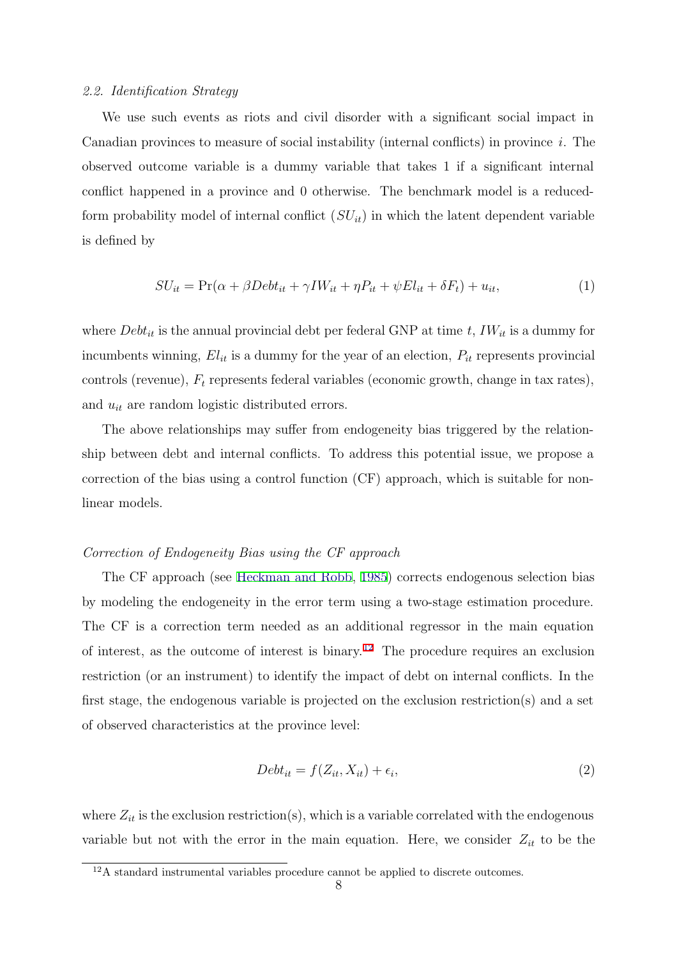#### 2.2. Identification Strategy

We use such events as riots and civil disorder with a significant social impact in Canadian provinces to measure of social instability (internal conflicts) in province i. The observed outcome variable is a dummy variable that takes 1 if a significant internal conflict happened in a province and 0 otherwise. The benchmark model is a reducedform probability model of internal conflict  $(SU_{it})$  in which the latent dependent variable is defined by

$$
SU_{it} = \Pr(\alpha + \beta Det_{it} + \gamma I W_{it} + \eta P_{it} + \psi El_{it} + \delta F_t) + u_{it},\tag{1}
$$

where  $Debt_{it}$  is the annual provincial debt per federal GNP at time t,  $IW_{it}$  is a dummy for incumbents winning,  $El_{it}$  is a dummy for the year of an election,  $P_{it}$  represents provincial controls (revenue),  $F_t$  represents federal variables (economic growth, change in tax rates), and  $u_{it}$  are random logistic distributed errors.

The above relationships may suffer from endogeneity bias triggered by the relationship between debt and internal conflicts. To address this potential issue, we propose a correction of the bias using a control function (CF) approach, which is suitable for nonlinear models.

#### Correction of Endogeneity Bias using the CF approach

The CF approach (see Heckman and Robb, 1985) corrects endogenous selection bias by modeling the endogeneity in the error term using a two-stage estimation procedure. The CF is a correction term needed as an additional regressor in the main equation of interest, as the outcome of interest is binary.<sup>12</sup> The procedure requires an exclusion restriction (or an instrument) to identify the impact of debt on internal conflicts. In the first stage, the endogenous variable is projected on the exclusion restriction(s) and a set of observed characteristics at the province level:

$$
Debt_{it} = f(Z_{it}, X_{it}) + \epsilon_i,
$$
\n<sup>(2)</sup>

where  $Z_{it}$  is the exclusion restriction(s), which is a variable correlated with the endogenous variable but not with the error in the main equation. Here, we consider  $Z_{it}$  to be the

<sup>&</sup>lt;sup>12</sup>A standard instrumental variables procedure cannot be applied to discrete outcomes.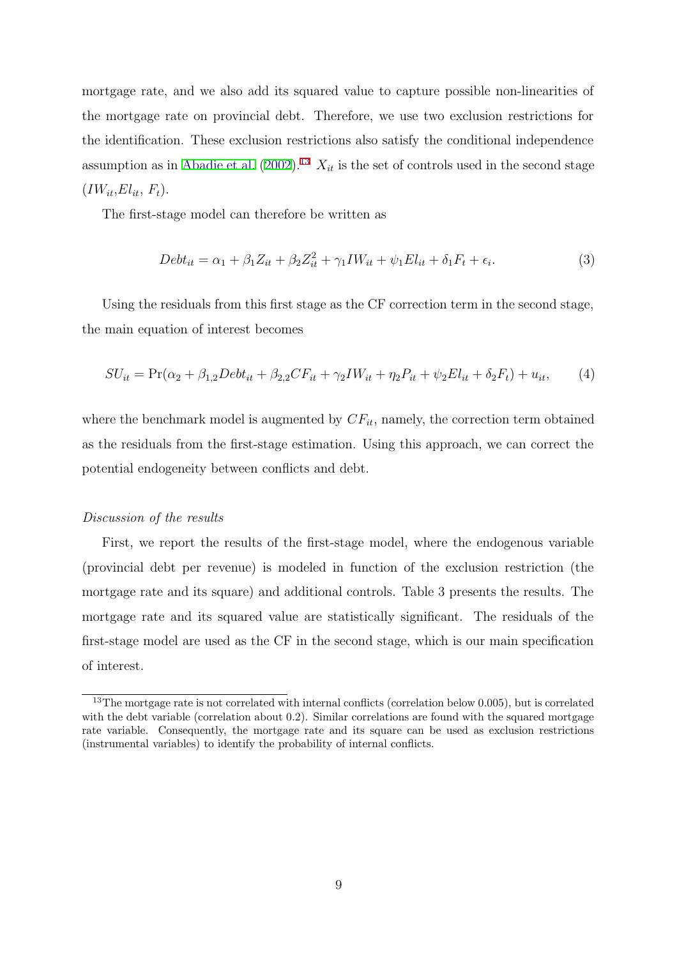mortgage rate, and we also add its squared value to capture possible non-linearities of the mortgage rate on provincial debt. Therefore, we use two exclusion restrictions for the identification. These exclusion restrictions also satisfy the conditional independence assumption as in Abadie et al. (2002).<sup>13</sup>  $X_{it}$  is the set of controls used in the second stage  $(IW_{it}, El_{it}, F_t).$ 

The first-stage model can therefore be written as

$$
Debt_{it} = \alpha_1 + \beta_1 Z_{it} + \beta_2 Z_{it}^2 + \gamma_1 I W_{it} + \psi_1 El_{it} + \delta_1 F_t + \epsilon_i.
$$
\n(3)

Using the residuals from this first stage as the CF correction term in the second stage, the main equation of interest becomes

$$
SU_{it} = \Pr(\alpha_2 + \beta_{1,2} Debt_{it} + \beta_{2,2} CF_{it} + \gamma_2 IW_{it} + \eta_2 P_{it} + \psi_2 El_{it} + \delta_2 F_t) + u_{it},\tag{4}
$$

where the benchmark model is augmented by  $CF_{it}$ , namely, the correction term obtained as the residuals from the first-stage estimation. Using this approach, we can correct the potential endogeneity between conflicts and debt.

#### Discussion of the results

First, we report the results of the first-stage model, where the endogenous variable (provincial debt per revenue) is modeled in function of the exclusion restriction (the mortgage rate and its square) and additional controls. Table 3 presents the results. The mortgage rate and its squared value are statistically significant. The residuals of the first-stage model are used as the CF in the second stage, which is our main specification of interest.

<sup>&</sup>lt;sup>13</sup>The mortgage rate is not correlated with internal conflicts (correlation below 0.005), but is correlated with the debt variable (correlation about 0.2). Similar correlations are found with the squared mortgage rate variable. Consequently, the mortgage rate and its square can be used as exclusion restrictions (instrumental variables) to identify the probability of internal conflicts.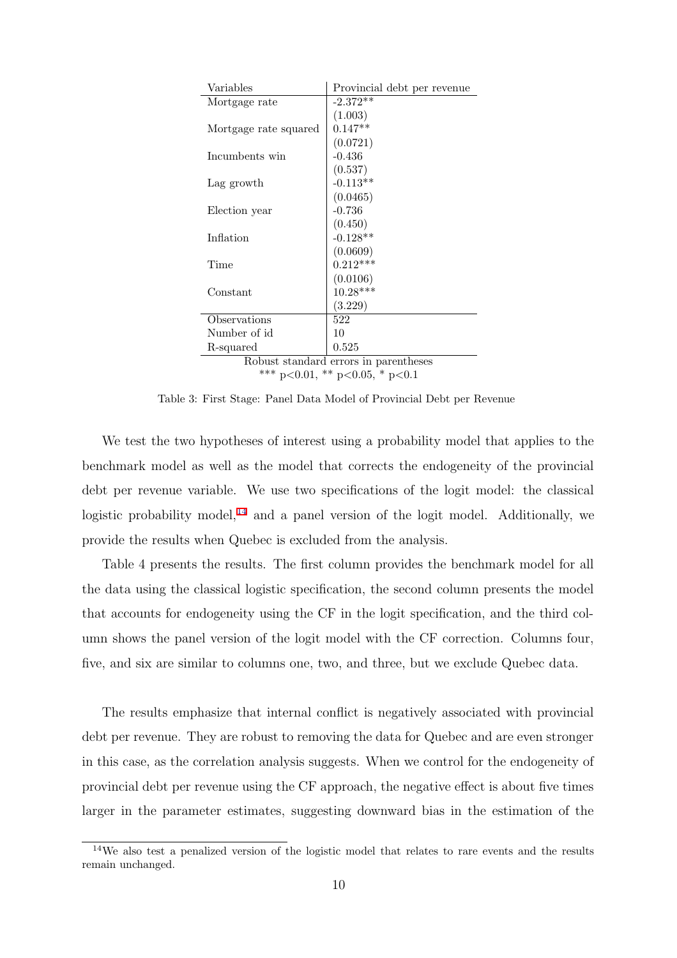| Variables                             | Provincial debt per revenue |  |  |
|---------------------------------------|-----------------------------|--|--|
| Mortgage rate                         | $-2.372**$                  |  |  |
|                                       | (1.003)                     |  |  |
| Mortgage rate squared                 | $0.147**$                   |  |  |
|                                       | (0.0721)                    |  |  |
| Incumbents win                        | $-0.436$                    |  |  |
|                                       | (0.537)                     |  |  |
| Lag growth                            | $-0.113**$                  |  |  |
|                                       | (0.0465)                    |  |  |
| Election year                         | $-0.736$                    |  |  |
|                                       | (0.450)                     |  |  |
| Inflation                             | $-0.128**$                  |  |  |
|                                       | (0.0609)                    |  |  |
| Time                                  | $0.212***$                  |  |  |
|                                       | (0.0106)                    |  |  |
| Constant                              | $10.28***$                  |  |  |
|                                       | (3.229)                     |  |  |
| Observations                          | 522                         |  |  |
| Number of id                          | 10                          |  |  |
| R-squared                             | 0.525                       |  |  |
| Robust standard errors in parentheses |                             |  |  |

\*\*\* p<0.01, \*\* p<0.05, \* p<0.1

Table 3: First Stage: Panel Data Model of Provincial Debt per Revenue

We test the two hypotheses of interest using a probability model that applies to the benchmark model as well as the model that corrects the endogeneity of the provincial debt per revenue variable. We use two specifications of the logit model: the classical logistic probability model,<sup>14</sup> and a panel version of the logit model. Additionally, we provide the results when Quebec is excluded from the analysis.

Table 4 presents the results. The first column provides the benchmark model for all the data using the classical logistic specification, the second column presents the model that accounts for endogeneity using the CF in the logit specification, and the third column shows the panel version of the logit model with the CF correction. Columns four, five, and six are similar to columns one, two, and three, but we exclude Quebec data.

The results emphasize that internal conflict is negatively associated with provincial debt per revenue. They are robust to removing the data for Quebec and are even stronger in this case, as the correlation analysis suggests. When we control for the endogeneity of provincial debt per revenue using the CF approach, the negative effect is about five times larger in the parameter estimates, suggesting downward bias in the estimation of the

<sup>&</sup>lt;sup>14</sup>We also test a penalized version of the logistic model that relates to rare events and the results remain unchanged.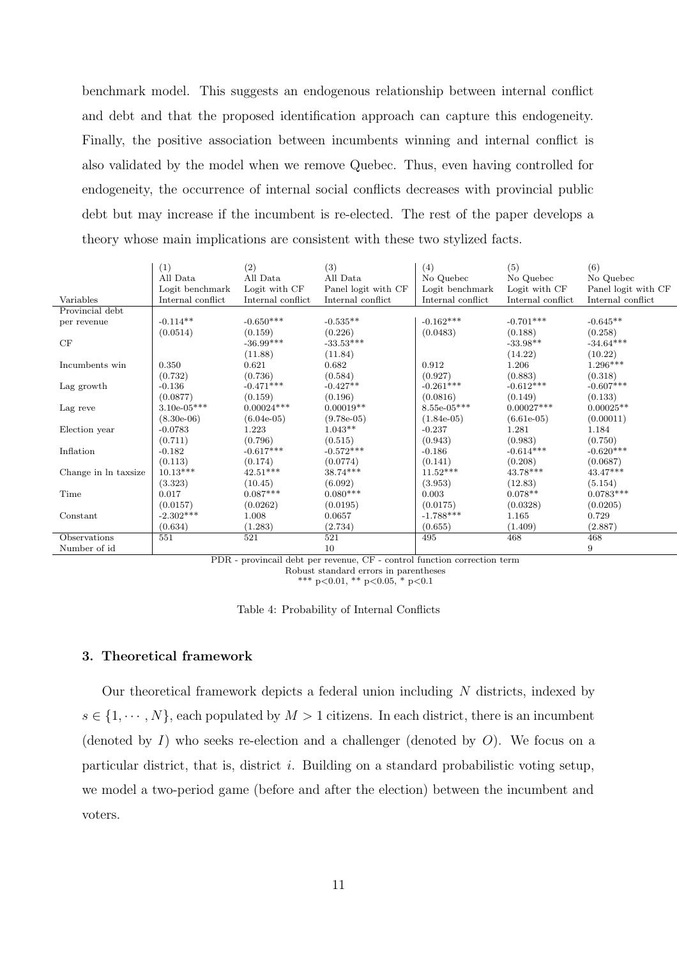benchmark model. This suggests an endogenous relationship between internal conflict and debt and that the proposed identification approach can capture this endogeneity. Finally, the positive association between incumbents winning and internal conflict is also validated by the model when we remove Quebec. Thus, even having controlled for endogeneity, the occurrence of internal social conflicts decreases with provincial public debt but may increase if the incumbent is re-elected. The rest of the paper develops a theory whose main implications are consistent with these two stylized facts.

|                      | (1)               | (2)               | (3)                 | (4)               | (5)               | (6)                 |
|----------------------|-------------------|-------------------|---------------------|-------------------|-------------------|---------------------|
|                      | All Data          | All Data          | All Data            | No Quebec         | No Quebec         | No Quebec           |
|                      | Logit benchmark   | Logit with CF     | Panel logit with CF | Logit benchmark   | Logit with CF     | Panel logit with CF |
| Variables            | Internal conflict | Internal conflict | Internal conflict   | Internal conflict | Internal conflict | Internal conflict   |
| Provincial debt      |                   |                   |                     |                   |                   |                     |
| per revenue          | $-0.114**$        | $-0.650***$       | $-0.535**$          | $-0.162***$       | $-0.701***$       | $-0.645**$          |
|                      | (0.0514)          | (0.159)           | (0.226)             | (0.0483)          | (0.188)           | (0.258)             |
| CF                   |                   | $-36.99***$       | $-33.53***$         |                   | $-33.98**$        | $-34.64***$         |
|                      |                   | (11.88)           | (11.84)             |                   | (14.22)           | (10.22)             |
| Incumbents win       | 0.350             | 0.621             | 0.682               | 0.912             | 1.206             | $1.296***$          |
|                      | (0.732)           | (0.736)           | (0.584)             | (0.927)           | (0.883)           | (0.318)             |
| Lag growth           | $-0.136$          | $-0.471***$       | $-0.427**$          | $-0.261***$       | $-0.612***$       | $-0.607***$         |
|                      | (0.0877)          | (0.159)           | (0.196)             | (0.0816)          | (0.149)           | (0.133)             |
| Lag reve             | $3.10e-05***$     | $0.00024***$      | $0.00019**$         | $8.55e-05***$     | $0.00027***$      | $0.00025**$         |
|                      | $(8.30e-06)$      | $(6.04e-05)$      | $(9.78e-05)$        | $(1.84e-05)$      | $(6.61e-05)$      | (0.00011)           |
| Election year        | $-0.0783$         | 1.223             | $1.043**$           | $-0.237$          | 1.281             | 1.184               |
|                      | (0.711)           | (0.796)           | (0.515)             | (0.943)           | (0.983)           | (0.750)             |
| Inflation            | $-0.182$          | $-0.617***$       | $-0.572***$         | $-0.186$          | $-0.614***$       | $-0.620***$         |
|                      | (0.113)           | (0.174)           | (0.0774)            | (0.141)           | (0.208)           | (0.0687)            |
| Change in ln taxsize | $10.13^{***}\,$   | $42.51***$        | 38.74***            | $11.52***$        | $43.78***$        | 43.47***            |
|                      | (3.323)           | (10.45)           | (6.092)             | (3.953)           | (12.83)           | (5.154)             |
| Time                 | 0.017             | $0.087***$        | $0.080***$          | 0.003             | $0.078**$         | $0.0783***$         |
|                      | (0.0157)          | (0.0262)          | (0.0195)            | (0.0175)          | (0.0328)          | (0.0205)            |
| Constant             | $-2.302***$       | 1.008             | 0.0657              | $-1.788***$       | 1.165             | 0.729               |
|                      | (0.634)           | (1.283)           | (2.734)             | (0.655)           | (1.409)           | (2.887)             |
| Observations         | 551               | 521               | 521                 | 495               | 468               | 468                 |
| Number of id         |                   |                   | 10                  |                   |                   | 9                   |

PDR - provincail debt per revenue, CF - control function correction term Robust standard errors in parentheses

\*\*\* p<0.01, \*\* p<0.05, \* p<0.1

Table 4: Probability of Internal Conflicts

#### 3. Theoretical framework

Our theoretical framework depicts a federal union including N districts, indexed by  $s \in \{1, \dots, N\}$ , each populated by  $M > 1$  citizens. In each district, there is an incumbent (denoted by  $I$ ) who seeks re-election and a challenger (denoted by  $O$ ). We focus on a particular district, that is, district i. Building on a standard probabilistic voting setup, we model a two-period game (before and after the election) between the incumbent and voters.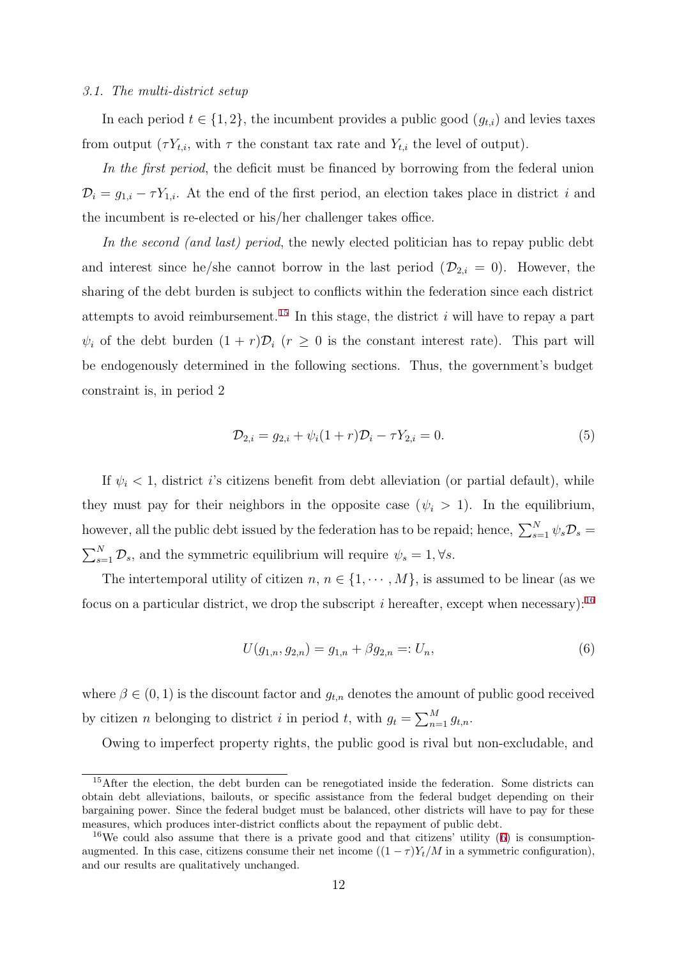#### 3.1. The multi-district setup

In each period  $t \in \{1, 2\}$ , the incumbent provides a public good  $(g_{t,i})$  and levies taxes from output  $(\tau Y_{t,i}, \text{ with } \tau \text{ the constant tax rate and } Y_{t,i} \text{ the level of output}).$ 

In the first period, the deficit must be financed by borrowing from the federal union  $\mathcal{D}_i = g_{1,i} - \tau Y_{1,i}$ . At the end of the first period, an election takes place in district i and the incumbent is re-elected or his/her challenger takes office.

In the second (and last) period, the newly elected politician has to repay public debt and interest since he/she cannot borrow in the last period  $(\mathcal{D}_{2,i} = 0)$ . However, the sharing of the debt burden is subject to conflicts within the federation since each district attempts to avoid reimbursement.<sup>15</sup> In this stage, the district  $i$  will have to repay a part  $\psi_i$  of the debt burden  $(1 + r)\mathcal{D}_i$   $(r \geq 0$  is the constant interest rate). This part will be endogenously determined in the following sections. Thus, the government's budget constraint is, in period 2

$$
\mathcal{D}_{2,i} = g_{2,i} + \psi_i (1+r) \mathcal{D}_i - \tau Y_{2,i} = 0. \tag{5}
$$

If  $\psi_i$  < 1, district *i*'s citizens benefit from debt alleviation (or partial default), while they must pay for their neighbors in the opposite case  $(\psi_i > 1)$ . In the equilibrium, however, all the public debt issued by the federation has to be repaid; hence,  $\sum_{s=1}^{N} \psi_s \mathcal{D}_s =$  $\sum_{s=1}^{N} \mathcal{D}_s$ , and the symmetric equilibrium will require  $\psi_s = 1, \forall s$ .

The intertemporal utility of citizen  $n, n \in \{1, \dots, M\}$ , is assumed to be linear (as we focus on a particular district, we drop the subscript i hereafter, except when necessary):<sup>16</sup>

$$
U(g_{1,n}, g_{2,n}) = g_{1,n} + \beta g_{2,n} =: U_n,
$$
\n<sup>(6)</sup>

where  $\beta \in (0, 1)$  is the discount factor and  $g_{t,n}$  denotes the amount of public good received by citizen *n* belonging to district *i* in period *t*, with  $g_t = \sum_{n=1}^{M} g_{t,n}$ .

Owing to imperfect property rights, the public good is rival but non-excludable, and

<sup>&</sup>lt;sup>15</sup>After the election, the debt burden can be renegotiated inside the federation. Some districts can obtain debt alleviations, bailouts, or specific assistance from the federal budget depending on their bargaining power. Since the federal budget must be balanced, other districts will have to pay for these measures, which produces inter-district conflicts about the repayment of public debt.

<sup>&</sup>lt;sup>16</sup>We could also assume that there is a private good and that citizens' utility  $(6)$  is consumptionaugmented. In this case, citizens consume their net income  $((1 - \tau)Y_t/M$  in a symmetric configuration), and our results are qualitatively unchanged.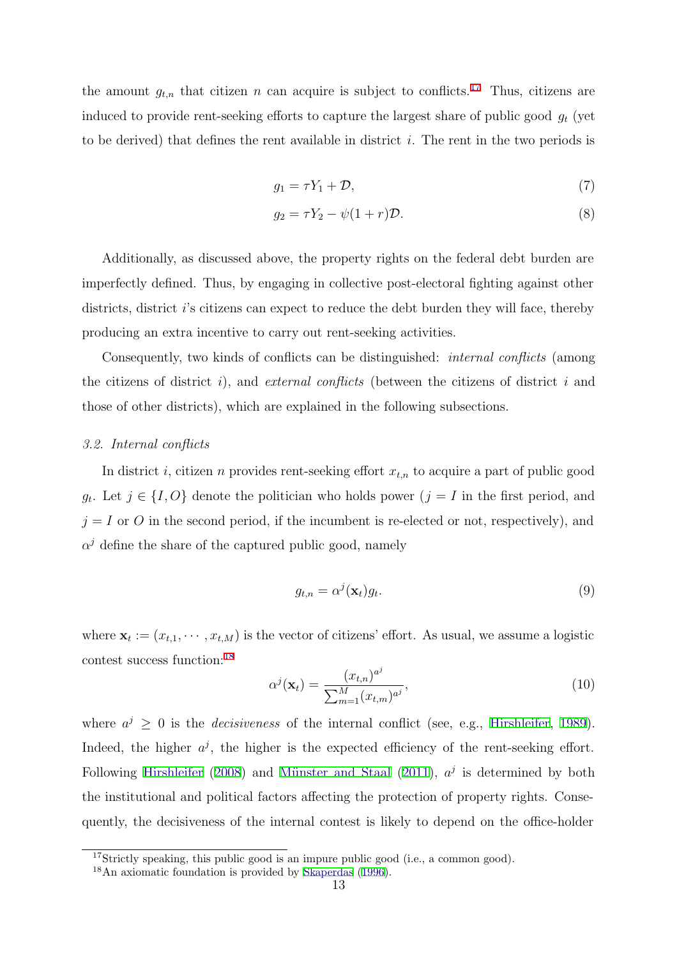the amount  $g_{t,n}$  that citizen n can acquire is subject to conflicts.<sup>17</sup> Thus, citizens are induced to provide rent-seeking efforts to capture the largest share of public good  $g_t$  (yet to be derived) that defines the rent available in district  $i$ . The rent in the two periods is

$$
g_1 = \tau Y_1 + \mathcal{D},\tag{7}
$$

$$
g_2 = \tau Y_2 - \psi(1+r)\mathcal{D}.\tag{8}
$$

Additionally, as discussed above, the property rights on the federal debt burden are imperfectly defined. Thus, by engaging in collective post-electoral fighting against other districts, district i's citizens can expect to reduce the debt burden they will face, thereby producing an extra incentive to carry out rent-seeking activities.

Consequently, two kinds of conflicts can be distinguished: *internal conflicts* (among the citizens of district i), and external conflicts (between the citizens of district i and those of other districts), which are explained in the following subsections.

#### 3.2. Internal conflicts

In district i, citizen n provides rent-seeking effort  $x_{t,n}$  to acquire a part of public good  $g_t$ . Let  $j \in \{I, O\}$  denote the politician who holds power  $(j = I$  in the first period, and  $j = I$  or O in the second period, if the incumbent is re-elected or not, respectively), and  $\alpha^{j}$  define the share of the captured public good, namely

$$
g_{t,n} = \alpha^j(\mathbf{x}_t)g_t.
$$
\n(9)

where  $\mathbf{x}_t := (x_{t,1}, \dots, x_{t,M})$  is the vector of citizens' effort. As usual, we assume a logistic contest success function:<sup>18</sup>

$$
\alpha^{j}(\mathbf{x}_{t}) = \frac{(x_{t,n})^{a^{j}}}{\sum_{m=1}^{M} (x_{t,m})^{a^{j}}},
$$
\n(10)

where  $a^j \geq 0$  is the *decisiveness* of the internal conflict (see, e.g., Hirshleifer, 1989). Indeed, the higher  $a^j$ , the higher is the expected efficiency of the rent-seeking effort. Following Hirshleifer (2008) and Münster and Staal (2011),  $a^j$  is determined by both the institutional and political factors affecting the protection of property rights. Consequently, the decisiveness of the internal contest is likely to depend on the office-holder

<sup>&</sup>lt;sup>17</sup>Strictly speaking, this public good is an impure public good (i.e., a common good).

<sup>18</sup>An axiomatic foundation is provided by Skaperdas (1996).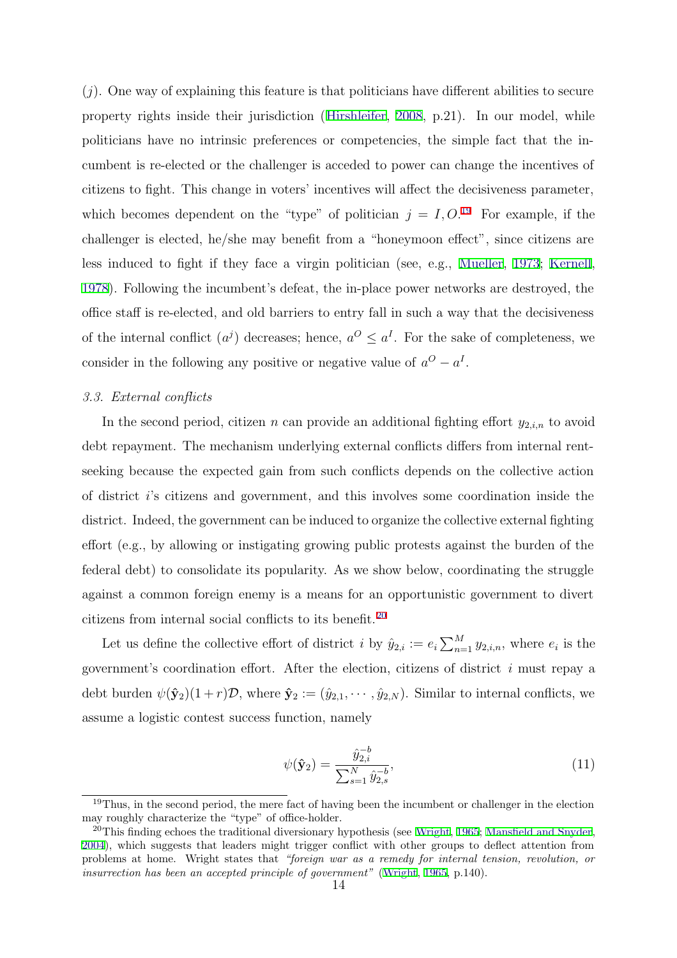$(j)$ . One way of explaining this feature is that politicians have different abilities to secure property rights inside their jurisdiction (Hirshleifer, 2008, p.21). In our model, while politicians have no intrinsic preferences or competencies, the simple fact that the incumbent is re-elected or the challenger is acceded to power can change the incentives of citizens to fight. This change in voters' incentives will affect the decisiveness parameter, which becomes dependent on the "type" of politician  $j = I, O$ .<sup>19</sup> For example, if the challenger is elected, he/she may benefit from a "honeymoon effect", since citizens are less induced to fight if they face a virgin politician (see, e.g., Mueller, 1973; Kernell, 1978). Following the incumbent's defeat, the in-place power networks are destroyed, the office staff is re-elected, and old barriers to entry fall in such a way that the decisiveness of the internal conflict  $(a^j)$  decreases; hence,  $a^O \le a^I$ . For the sake of completeness, we consider in the following any positive or negative value of  $a^O - a^I$ .

#### 3.3. External conflicts

In the second period, citizen n can provide an additional fighting effort  $y_{2,i,n}$  to avoid debt repayment. The mechanism underlying external conflicts differs from internal rentseeking because the expected gain from such conflicts depends on the collective action of district i's citizens and government, and this involves some coordination inside the district. Indeed, the government can be induced to organize the collective external fighting effort (e.g., by allowing or instigating growing public protests against the burden of the federal debt) to consolidate its popularity. As we show below, coordinating the struggle against a common foreign enemy is a means for an opportunistic government to divert citizens from internal social conflicts to its benefit.<sup>20</sup>

Let us define the collective effort of district *i* by  $\hat{y}_{2,i} := e_i \sum_{n=1}^{M} y_{2,i,n}$ , where  $e_i$  is the government's coordination effort. After the election, citizens of district  $i$  must repay a debt burden  $\psi(\hat{\mathbf{y}}_2)(1+r)\mathcal{D}$ , where  $\hat{\mathbf{y}}_2 := (\hat{y}_{2,1}, \cdots, \hat{y}_{2,N})$ . Similar to internal conflicts, we assume a logistic contest success function, namely

$$
\psi(\hat{\mathbf{y}}_2) = \frac{\hat{y}_{2,i}^{-b}}{\sum_{s=1}^{N} \hat{y}_{2,s}^{-b}},\tag{11}
$$

<sup>&</sup>lt;sup>19</sup>Thus, in the second period, the mere fact of having been the incumbent or challenger in the election may roughly characterize the "type" of office-holder.

<sup>&</sup>lt;sup>20</sup>This finding echoes the traditional diversionary hypothesis (see Wright, 1965; Mansfield and Snyder, 2004), which suggests that leaders might trigger conflict with other groups to deflect attention from problems at home. Wright states that "foreign war as a remedy for internal tension, revolution, or insurrection has been an accepted principle of government" (Wright, 1965, p.140).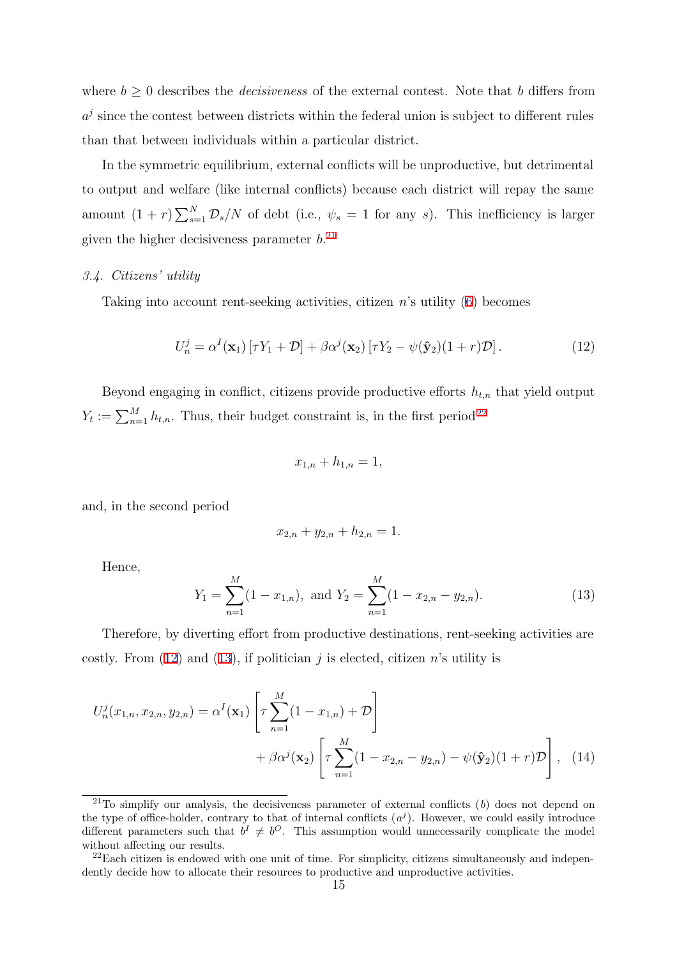where  $b \geq 0$  describes the *decisiveness* of the external contest. Note that b differs from  $a<sup>j</sup>$  since the contest between districts within the federal union is subject to different rules than that between individuals within a particular district.

In the symmetric equilibrium, external conflicts will be unproductive, but detrimental to output and welfare (like internal conflicts) because each district will repay the same amount  $(1 + r) \sum_{s=1}^{N} \mathcal{D}_s/N$  of debt (i.e.,  $\psi_s = 1$  for any s). This inefficiency is larger given the higher decisiveness parameter  $b$ <sup>21</sup>

## 3.4. Citizens' utility

Taking into account rent-seeking activities, citizen  $n$ 's utility  $(6)$  becomes

$$
U_n^j = \alpha^I(\mathbf{x}_1) [\tau Y_1 + \mathcal{D}] + \beta \alpha^j(\mathbf{x}_2) [\tau Y_2 - \psi(\hat{\mathbf{y}}_2)(1+r)\mathcal{D}]. \tag{12}
$$

Beyond engaging in conflict, citizens provide productive efforts  $h_{t,n}$  that yield output  $Y_t := \sum_{n=1}^{M} h_{t,n}$ . Thus, their budget constraint is, in the first period<sup>22</sup>

$$
x_{1,n} + h_{1,n} = 1,
$$

and, in the second period

$$
x_{2,n} + y_{2,n} + h_{2,n} = 1.
$$

Hence,

$$
Y_1 = \sum_{n=1}^{M} (1 - x_{1,n}), \text{ and } Y_2 = \sum_{n=1}^{M} (1 - x_{2,n} - y_{2,n}).
$$
 (13)

Therefore, by diverting effort from productive destinations, rent-seeking activities are costly. From (12) and (13), if politician j is elected, citizen n's utility is

$$
U_n^j(x_{1,n}, x_{2,n}, y_{2,n}) = \alpha^I(\mathbf{x}_1) \left[ \tau \sum_{n=1}^M (1 - x_{1,n}) + \mathcal{D} \right] + \beta \alpha^j(\mathbf{x}_2) \left[ \tau \sum_{n=1}^M (1 - x_{2,n} - y_{2,n}) - \psi(\hat{\mathbf{y}}_2)(1+r)\mathcal{D} \right], \quad (14)
$$

<sup>&</sup>lt;sup>21</sup>To simplify our analysis, the decisiveness parameter of external conflicts  $(b)$  does not depend on the type of office-holder, contrary to that of internal conflicts  $(a<sup>j</sup>)$ . However, we could easily introduce different parameters such that  $b^I \neq b^O$ . This assumption would unnecessarily complicate the model without affecting our results.

 $^{22}$ Each citizen is endowed with one unit of time. For simplicity, citizens simultaneously and independently decide how to allocate their resources to productive and unproductive activities.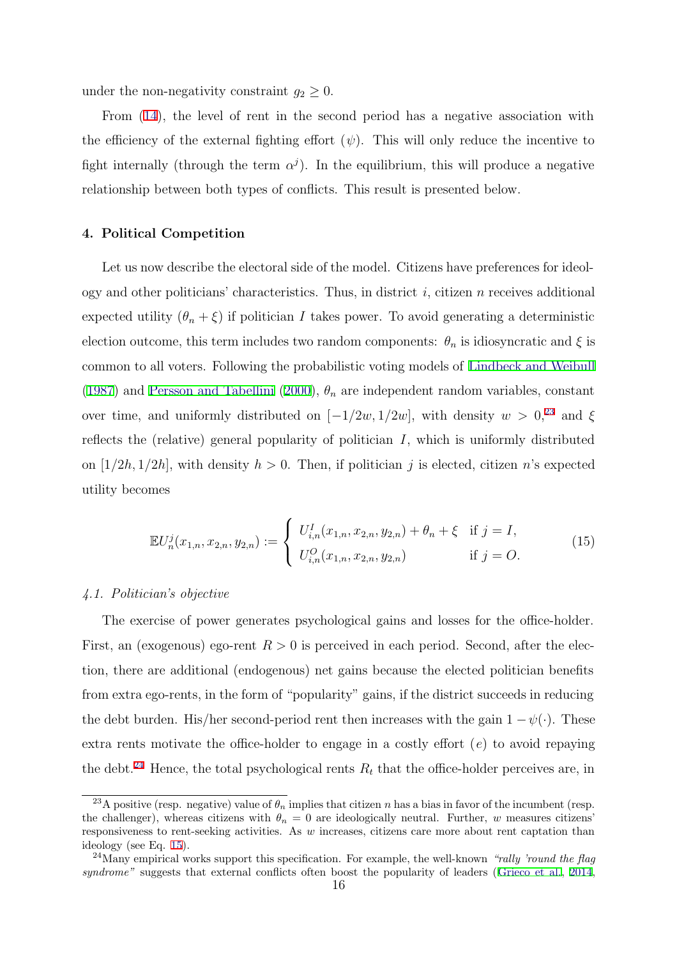under the non-negativity constraint  $g_2 \geq 0$ .

From (14), the level of rent in the second period has a negative association with the efficiency of the external fighting effort  $(\psi)$ . This will only reduce the incentive to fight internally (through the term  $\alpha^{j}$ ). In the equilibrium, this will produce a negative relationship between both types of conflicts. This result is presented below.

#### 4. Political Competition

Let us now describe the electoral side of the model. Citizens have preferences for ideology and other politicians' characteristics. Thus, in district  $i$ , citizen  $n$  receives additional expected utility  $(\theta_n + \xi)$  if politician I takes power. To avoid generating a deterministic election outcome, this term includes two random components:  $\theta_n$  is idiosyncratic and  $\xi$  is common to all voters. Following the probabilistic voting models of Lindbeck and Weibull (1987) and Persson and Tabellini (2000),  $\theta_n$  are independent random variables, constant over time, and uniformly distributed on [ $-1/2w, 1/2w$ ], with density  $w > 0$ ,<sup>23</sup> and  $\xi$ reflects the (relative) general popularity of politician  $I$ , which is uniformly distributed on  $[1/2h, 1/2h]$ , with density  $h > 0$ . Then, if politician j is elected, citizen n's expected utility becomes

$$
\mathbb{E}U_n^j(x_{1,n}, x_{2,n}, y_{2,n}) := \begin{cases} U_{i,n}^I(x_{1,n}, x_{2,n}, y_{2,n}) + \theta_n + \xi & \text{if } j = I, \\ U_{i,n}^O(x_{1,n}, x_{2,n}, y_{2,n}) & \text{if } j = O. \end{cases}
$$
(15)

#### 4.1. Politician's objective

The exercise of power generates psychological gains and losses for the office-holder. First, an (exogenous) ego-rent  $R > 0$  is perceived in each period. Second, after the election, there are additional (endogenous) net gains because the elected politician benefits from extra ego-rents, in the form of "popularity" gains, if the district succeeds in reducing the debt burden. His/her second-period rent then increases with the gain  $1 - \psi(\cdot)$ . These extra rents motivate the office-holder to engage in a costly effort  $(e)$  to avoid repaying the debt.<sup>24</sup> Hence, the total psychological rents  $R_t$  that the office-holder perceives are, in

<sup>&</sup>lt;sup>23</sup>A positive (resp. negative) value of  $\theta_n$  implies that citizen n has a bias in favor of the incumbent (resp. the challenger), whereas citizens with  $\theta_n = 0$  are ideologically neutral. Further, w measures citizens' responsiveness to rent-seeking activities. As w increases, citizens care more about rent captation than ideology (see Eq. 15).

<sup>&</sup>lt;sup>24</sup>Many empirical works support this specification. For example, the well-known "rally 'round the flag syndrome" suggests that external conflicts often boost the popularity of leaders (Grieco et al., 2014,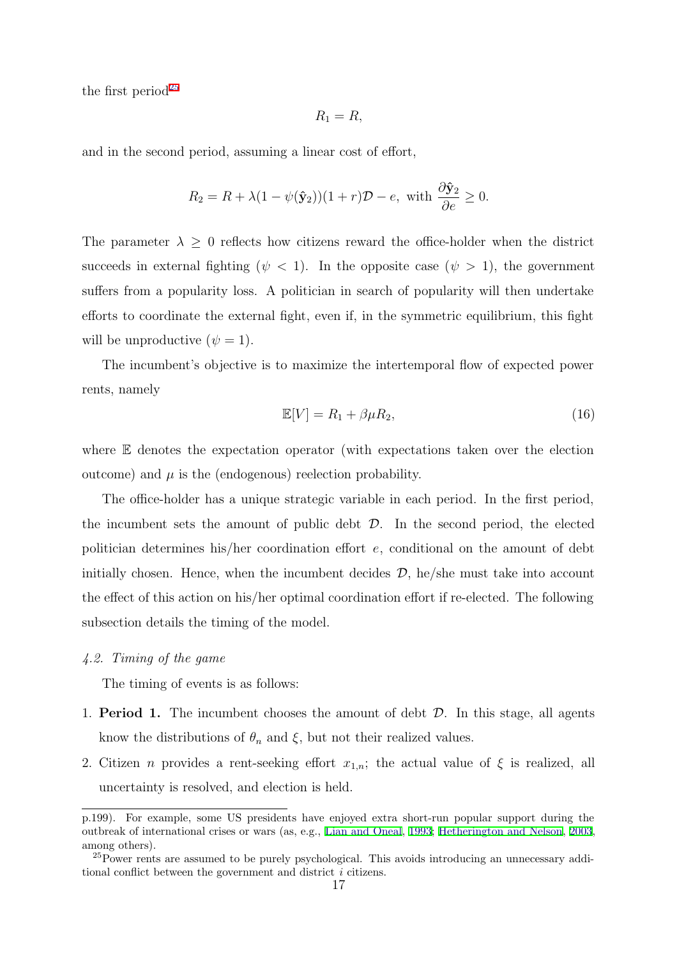the first period<sup>25</sup>

$$
R_1=R,
$$

and in the second period, assuming a linear cost of effort,

$$
R_2 = R + \lambda (1 - \psi(\hat{\mathbf{y}}_2))(1 + r)\mathcal{D} - e, \text{ with } \frac{\partial \hat{\mathbf{y}}_2}{\partial e} \ge 0.
$$

The parameter  $\lambda \geq 0$  reflects how citizens reward the office-holder when the district succeeds in external fighting ( $\psi$  < 1). In the opposite case ( $\psi$  > 1), the government suffers from a popularity loss. A politician in search of popularity will then undertake efforts to coordinate the external fight, even if, in the symmetric equilibrium, this fight will be unproductive  $(\psi = 1)$ .

The incumbent's objective is to maximize the intertemporal flow of expected power rents, namely

$$
\mathbb{E}[V] = R_1 + \beta \mu R_2,\tag{16}
$$

where E denotes the expectation operator (with expectations taken over the election outcome) and  $\mu$  is the (endogenous) reelection probability.

The office-holder has a unique strategic variable in each period. In the first period, the incumbent sets the amount of public debt  $\mathcal{D}$ . In the second period, the elected politician determines his/her coordination effort e, conditional on the amount of debt initially chosen. Hence, when the incumbent decides  $\mathcal{D}$ , he/she must take into account the effect of this action on his/her optimal coordination effort if re-elected. The following subsection details the timing of the model.

## 4.2. Timing of the game

The timing of events is as follows:

- 1. **Period 1.** The incumbent chooses the amount of debt  $D$ . In this stage, all agents know the distributions of  $\theta_n$  and  $\xi$ , but not their realized values.
- 2. Citizen *n* provides a rent-seeking effort  $x_{1,n}$ ; the actual value of  $\xi$  is realized, all uncertainty is resolved, and election is held.

p.199). For example, some US presidents have enjoyed extra short-run popular support during the outbreak of international crises or wars (as, e.g., Lian and Oneal, 1993; Hetherington and Nelson, 2003, among others).

<sup>&</sup>lt;sup>25</sup>Power rents are assumed to be purely psychological. This avoids introducing an unnecessary additional conflict between the government and district i citizens.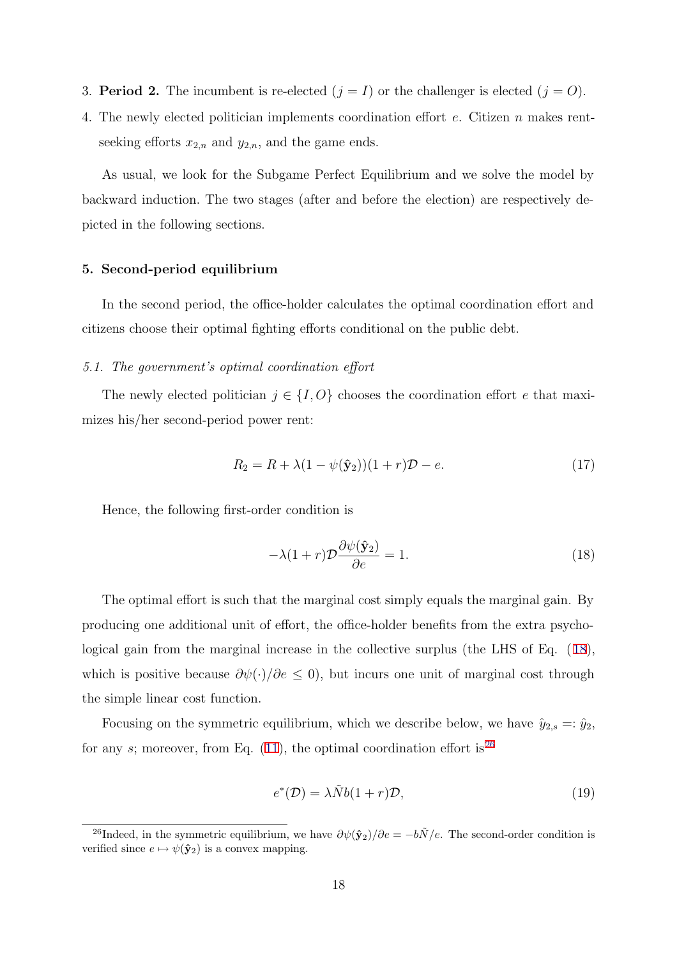- 3. **Period 2.** The incumbent is re-elected  $(j = I)$  or the challenger is elected  $(j = O)$ .
- 4. The newly elected politician implements coordination effort e. Citizen n makes rentseeking efforts  $x_{2,n}$  and  $y_{2,n}$ , and the game ends.

As usual, we look for the Subgame Perfect Equilibrium and we solve the model by backward induction. The two stages (after and before the election) are respectively depicted in the following sections.

## 5. Second-period equilibrium

In the second period, the office-holder calculates the optimal coordination effort and citizens choose their optimal fighting efforts conditional on the public debt.

#### 5.1. The government's optimal coordination effort

The newly elected politician  $j \in \{I, O\}$  chooses the coordination effort e that maximizes his/her second-period power rent:

$$
R_2 = R + \lambda (1 - \psi(\hat{\mathbf{y}}_2))(1+r)\mathcal{D} - e. \tag{17}
$$

Hence, the following first-order condition is

$$
-\lambda(1+r)\mathcal{D}\frac{\partial\psi(\hat{\mathbf{y}}_2)}{\partial e} = 1.
$$
 (18)

The optimal effort is such that the marginal cost simply equals the marginal gain. By producing one additional unit of effort, the office-holder benefits from the extra psychological gain from the marginal increase in the collective surplus (the LHS of Eq. (18), which is positive because  $\partial \psi(\cdot)/\partial e \leq 0$ , but incurs one unit of marginal cost through the simple linear cost function.

Focusing on the symmetric equilibrium, which we describe below, we have  $\hat{y}_{2,s} =: \hat{y}_2$ , for any s; moreover, from Eq.  $(11)$ , the optimal coordination effort is<sup>26</sup>

$$
e^*(\mathcal{D}) = \lambda \tilde{N}b(1+r)\mathcal{D},\tag{19}
$$

<sup>&</sup>lt;sup>26</sup>Indeed, in the symmetric equilibrium, we have  $\partial \psi(\hat{y}_2)/\partial e = -b\tilde{N}/e$ . The second-order condition is verified since  $e \mapsto \psi(\hat{\mathbf{y}}_2)$  is a convex mapping.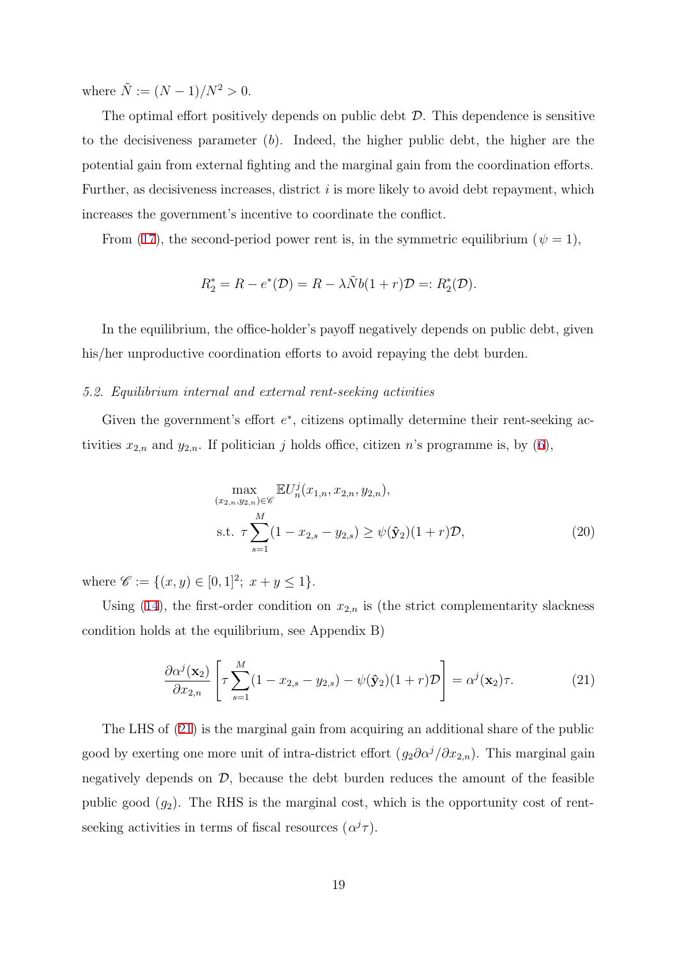where  $\tilde{N} := (N-1)/N^2 > 0$ .

The optimal effort positively depends on public debt  $D$ . This dependence is sensitive to the decisiveness parameter (b). Indeed, the higher public debt, the higher are the potential gain from external fighting and the marginal gain from the coordination efforts. Further, as decisiveness increases, district  $i$  is more likely to avoid debt repayment, which increases the government's incentive to coordinate the conflict.

From (17), the second-period power rent is, in the symmetric equilibrium ( $\psi = 1$ ),

$$
R_2^* = R - e^*(\mathcal{D}) = R - \lambda \tilde{N}b(1+r)\mathcal{D} =: R_2^*(\mathcal{D}).
$$

In the equilibrium, the office-holder's payoff negatively depends on public debt, given his/her unproductive coordination efforts to avoid repaying the debt burden.

#### 5.2. Equilibrium internal and external rent-seeking activities

Given the government's effort  $e^*$ , citizens optimally determine their rent-seeking activities  $x_{2,n}$  and  $y_{2,n}$ . If politician j holds office, citizen n's programme is, by (6),

$$
\max_{(x_{2,n}, y_{2,n}) \in \mathscr{C}} \mathbb{E} U_n^j(x_{1,n}, x_{2,n}, y_{2,n}),
$$
\n
$$
\text{s.t. } \tau \sum_{s=1}^M (1 - x_{2,s} - y_{2,s}) \ge \psi(\hat{\mathbf{y}}_2)(1+r)\mathcal{D},
$$
\n(20)

where  $\mathscr{C} := \{(x, y) \in [0, 1]^2; x + y \leq 1\}.$ 

Using (14), the first-order condition on  $x_{2,n}$  is (the strict complementarity slackness condition holds at the equilibrium, see Appendix B)

$$
\frac{\partial \alpha^j(\mathbf{x}_2)}{\partial x_{2,n}} \left[ \tau \sum_{s=1}^M (1 - x_{2,s} - y_{2,s}) - \psi(\hat{\mathbf{y}}_2)(1+r) \mathcal{D} \right] = \alpha^j(\mathbf{x}_2) \tau. \tag{21}
$$

The LHS of (21) is the marginal gain from acquiring an additional share of the public good by exerting one more unit of intra-district effort  $(g_2\partial\alpha^j/\partial x_{2,n})$ . This marginal gain negatively depends on  $D$ , because the debt burden reduces the amount of the feasible public good  $(g_2)$ . The RHS is the marginal cost, which is the opportunity cost of rentseeking activities in terms of fiscal resources  $(\alpha^{j} \tau)$ .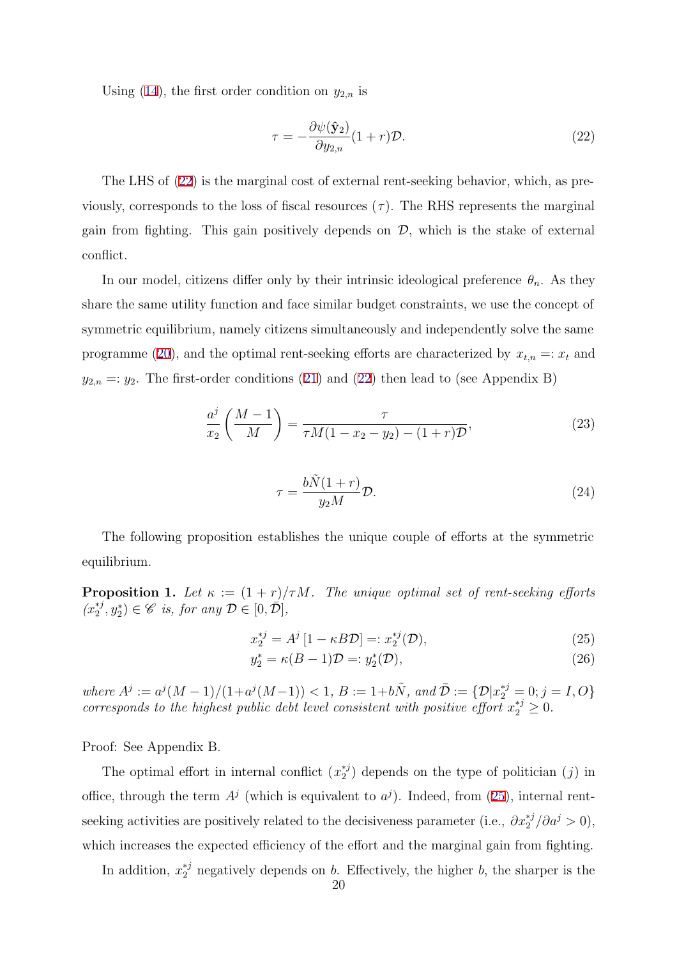Using (14), the first order condition on  $y_{2,n}$  is

$$
\tau = -\frac{\partial \psi(\hat{\mathbf{y}}_2)}{\partial y_{2,n}}(1+r)\mathcal{D}.\tag{22}
$$

The LHS of (22) is the marginal cost of external rent-seeking behavior, which, as previously, corresponds to the loss of fiscal resources  $(\tau)$ . The RHS represents the marginal gain from fighting. This gain positively depends on  $\mathcal{D}$ , which is the stake of external conflict.

In our model, citizens differ only by their intrinsic ideological preference  $\theta_n$ . As they share the same utility function and face similar budget constraints, we use the concept of symmetric equilibrium, namely citizens simultaneously and independently solve the same programme (20), and the optimal rent-seeking efforts are characterized by  $x_{t,n} =: x_t$  and  $y_{2,n} =: y_2$ . The first-order conditions (21) and (22) then lead to (see Appendix B)

$$
\frac{a^j}{x_2} \left( \frac{M-1}{M} \right) = \frac{\tau}{\tau M (1 - x_2 - y_2) - (1+r) \mathcal{D}},\tag{23}
$$

$$
\tau = \frac{b\tilde{N}(1+r)}{y_2M}\mathcal{D}.\tag{24}
$$

The following proposition establishes the unique couple of efforts at the symmetric equilibrium.

**Proposition 1.** Let  $\kappa := (1 + r)/\tau M$ . The unique optimal set of rent-seeking efforts  $(x_2^{*j}, y_2^*) \in \mathscr{C}$  is, for any  $\mathcal{D} \in [0, \overline{\mathcal{D}}],$ 

$$
x_2^{*j} = A^j \left[ 1 - \kappa B \mathcal{D} \right] =: x_2^{*j}(\mathcal{D}),\tag{25}
$$

$$
y_2^* = \kappa (B - 1)\mathcal{D} =: y_2^*(\mathcal{D}),\tag{26}
$$

where  $A^j := a^j(M-1)/(1+a^j(M-1)) < 1, B := 1+b\tilde{N}$ , and  $\overline{\mathcal{D}} := {\mathcal{D}}[x_2^{*j} = 0; j = I, O]$ corresponds to the highest public debt level consistent with positive effort  $x_2^{*j} \geq 0$ .

Proof: See Appendix B.

The optimal effort in internal conflict  $(x_2^{*j})$  depends on the type of politician  $(j)$  in office, through the term  $A^j$  (which is equivalent to  $a^j$ ). Indeed, from (25), internal rentseeking activities are positively related to the decisiveness parameter (i.e.,  $\partial x_2^{*j}/\partial a^j > 0$ ), which increases the expected efficiency of the effort and the marginal gain from fighting.

In addition,  $x_2^{*j}$  negatively depends on b. Effectively, the higher b, the sharper is the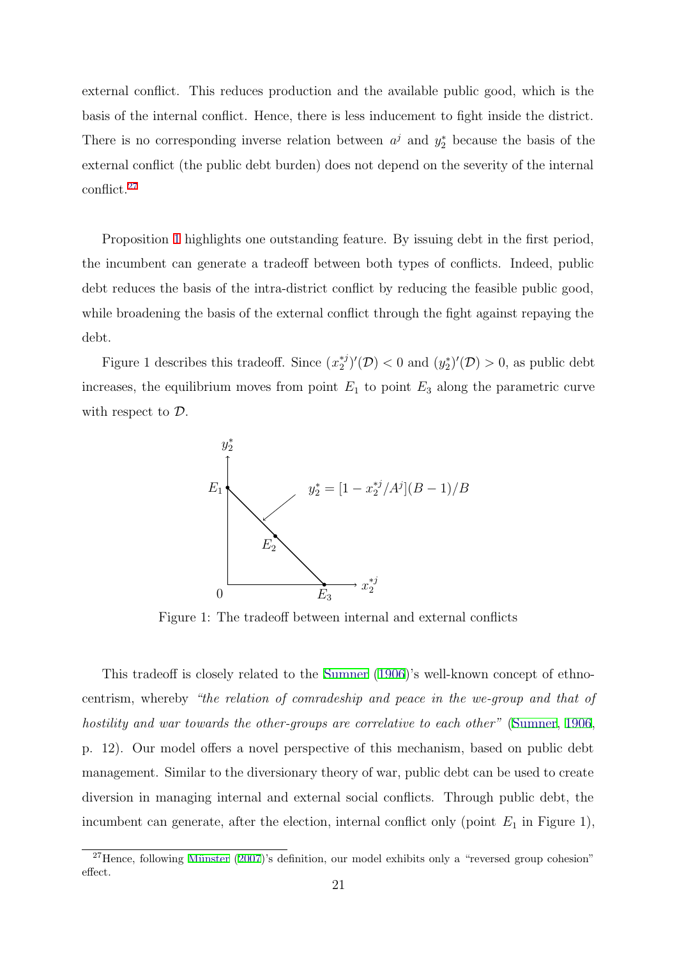external conflict. This reduces production and the available public good, which is the basis of the internal conflict. Hence, there is less inducement to fight inside the district. There is no corresponding inverse relation between  $a^j$  and  $y_2^*$  because the basis of the external conflict (the public debt burden) does not depend on the severity of the internal conflict.<sup>27</sup>

Proposition 1 highlights one outstanding feature. By issuing debt in the first period, the incumbent can generate a tradeoff between both types of conflicts. Indeed, public debt reduces the basis of the intra-district conflict by reducing the feasible public good, while broadening the basis of the external conflict through the fight against repaying the debt.

Figure 1 describes this tradeoff. Since  $(x_2^{*j})'(\mathcal{D}) < 0$  and  $(y_2^{*})'(\mathcal{D}) > 0$ , as public debt increases, the equilibrium moves from point  $E_1$  to point  $E_3$  along the parametric curve with respect to  $\mathcal{D}$ .



Figure 1: The tradeoff between internal and external conflicts

This tradeoff is closely related to the Sumner (1906)'s well-known concept of ethnocentrism, whereby "the relation of comradeship and peace in the we-group and that of hostility and war towards the other-groups are correlative to each other" (Sumner, 1906, p. 12). Our model offers a novel perspective of this mechanism, based on public debt management. Similar to the diversionary theory of war, public debt can be used to create diversion in managing internal and external social conflicts. Through public debt, the incumbent can generate, after the election, internal conflict only (point  $E_1$  in Figure 1),

 $27$ Hence, following Münster (2007)'s definition, our model exhibits only a "reversed group cohesion" effect.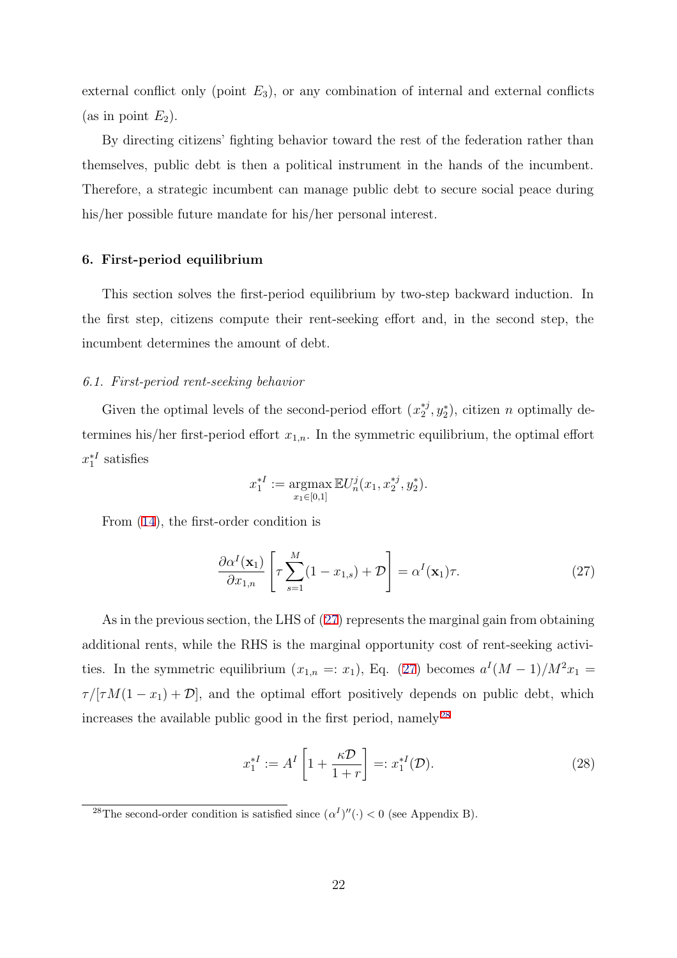external conflict only (point  $E_3$ ), or any combination of internal and external conflicts (as in point  $E_2$ ).

By directing citizens' fighting behavior toward the rest of the federation rather than themselves, public debt is then a political instrument in the hands of the incumbent. Therefore, a strategic incumbent can manage public debt to secure social peace during his/her possible future mandate for his/her personal interest.

#### 6. First-period equilibrium

This section solves the first-period equilibrium by two-step backward induction. In the first step, citizens compute their rent-seeking effort and, in the second step, the incumbent determines the amount of debt.

#### 6.1. First-period rent-seeking behavior

Given the optimal levels of the second-period effort  $(x_2^{*j}, y_2^*)$ , citizen n optimally determines his/her first-period effort  $x_{1,n}$ . In the symmetric equilibrium, the optimal effort  $x_1^{*I}$  satisfies

$$
x_1^{*I} := \operatorname*{argmax}_{x_1 \in [0,1]} \mathbb{E} U_n^j(x_1, x_2^{*j}, y_2^*).
$$

From (14), the first-order condition is

$$
\frac{\partial \alpha^I(\mathbf{x}_1)}{\partial x_{1,n}} \left[ \tau \sum_{s=1}^M (1 - x_{1,s}) + \mathcal{D} \right] = \alpha^I(\mathbf{x}_1) \tau. \tag{27}
$$

As in the previous section, the LHS of (27) represents the marginal gain from obtaining additional rents, while the RHS is the marginal opportunity cost of rent-seeking activities. In the symmetric equilibrium  $(x_{1,n} =: x_1)$ , Eq. (27) becomes  $a^I(M-1)/M^2x_1 =$  $\tau/[\tau M(1-x_1)+\mathcal{D}],$  and the optimal effort positively depends on public debt, which increases the available public good in the first period, namely <sup>28</sup>

$$
x_1^{*I} := A^I \left[ 1 + \frac{\kappa \mathcal{D}}{1+r} \right] =: x_1^{*I}(\mathcal{D}). \tag{28}
$$

<sup>&</sup>lt;sup>28</sup>The second-order condition is satisfied since  $(\alpha^I)''(\cdot) < 0$  (see Appendix B).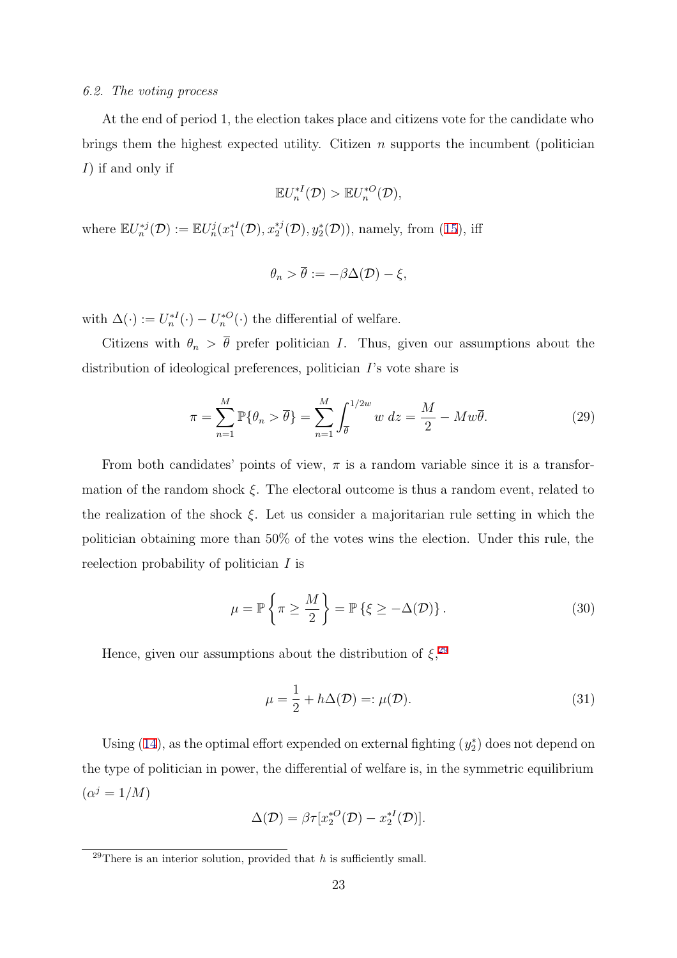#### 6.2. The voting process

At the end of period 1, the election takes place and citizens vote for the candidate who brings them the highest expected utility. Citizen  $n$  supports the incumbent (politician I) if and only if

$$
\mathbb{E}U_n^{*I}(\mathcal{D}) > \mathbb{E}U_n^{*O}(\mathcal{D}),
$$

where  $\mathbb{E}U_n^{*j}(\mathcal{D}):=\mathbb{E}U_n^j(x_1^{*I}(\mathcal{D}),x_2^{*j}(\mathcal{D}),y_2^{*}(\mathcal{D}))$ , namely, from (15), iff

$$
\theta_n > \overline{\theta} := -\beta \Delta(\mathcal{D}) - \xi,
$$

with  $\Delta(\cdot) := U_n^{*I}(\cdot) - U_n^{*O}(\cdot)$  the differential of welfare.

Citizens with  $\theta_n > \overline{\theta}$  prefer politician I. Thus, given our assumptions about the distribution of ideological preferences, politician I's vote share is

$$
\pi = \sum_{n=1}^{M} \mathbb{P}\{\theta_n > \overline{\theta}\} = \sum_{n=1}^{M} \int_{\overline{\theta}}^{1/2w} w \, dz = \frac{M}{2} - Mw\overline{\theta}.\tag{29}
$$

From both candidates' points of view,  $\pi$  is a random variable since it is a transformation of the random shock  $\xi$ . The electoral outcome is thus a random event, related to the realization of the shock  $\xi$ . Let us consider a majoritarian rule setting in which the politician obtaining more than 50% of the votes wins the election. Under this rule, the reelection probability of politician I is

$$
\mu = \mathbb{P}\left\{\pi \ge \frac{M}{2}\right\} = \mathbb{P}\left\{\xi \ge -\Delta(\mathcal{D})\right\}.
$$
\n(30)

Hence, given our assumptions about the distribution of  $\xi$ <sup>29</sup>

$$
\mu = \frac{1}{2} + h\Delta(\mathcal{D}) =: \mu(\mathcal{D}).
$$
\n(31)

Using (14), as the optimal effort expended on external fighting  $(y_2^*)$  does not depend on the type of politician in power, the differential of welfare is, in the symmetric equilibrium  $(\alpha^{j}=1/M)$ 

$$
\Delta(\mathcal{D}) = \beta \tau [x_2^{*O}(\mathcal{D}) - x_2^{*I}(\mathcal{D})].
$$

<sup>&</sup>lt;sup>29</sup>There is an interior solution, provided that  $h$  is sufficiently small.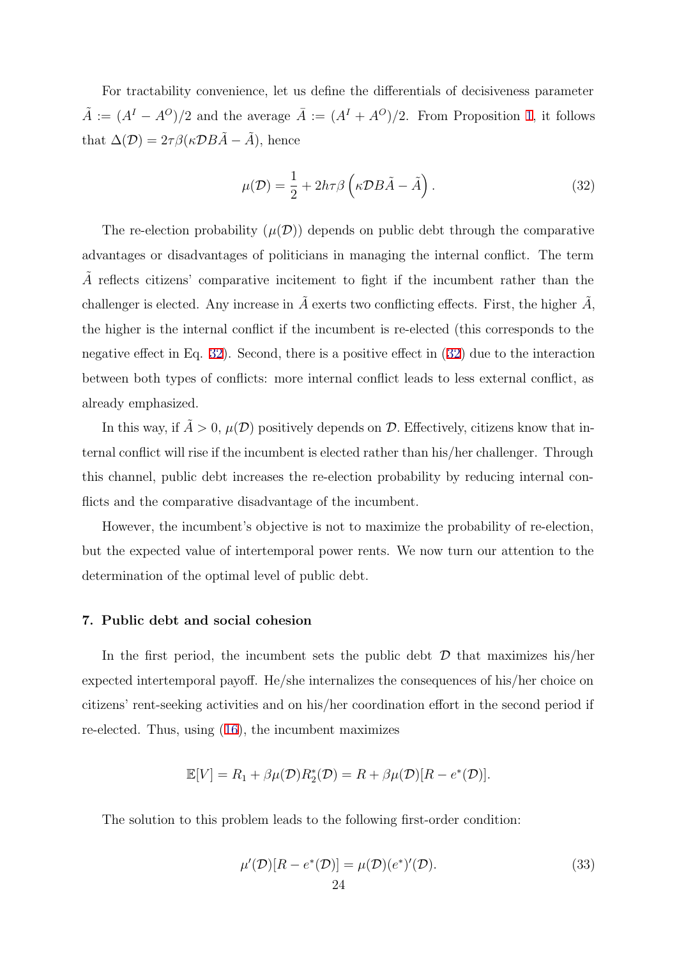For tractability convenience, let us define the differentials of decisiveness parameter  $\tilde{A} := (A<sup>I</sup> - A<sup>O</sup>)/2$  and the average  $\overline{A} := (A<sup>I</sup> + A<sup>O</sup>)/2$ . From Proposition 1, it follows that  $\Delta(\mathcal{D}) = 2\tau \beta(\kappa \mathcal{D} B \tilde{A} - \tilde{A})$ , hence

$$
\mu(\mathcal{D}) = \frac{1}{2} + 2h\tau\beta \left(\kappa \mathcal{D}B\tilde{A} - \tilde{A}\right). \tag{32}
$$

The re-election probability  $(\mu(\mathcal{D}))$  depends on public debt through the comparative advantages or disadvantages of politicians in managing the internal conflict. The term  $\tilde{A}$  reflects citizens' comparative incitement to fight if the incumbent rather than the challenger is elected. Any increase in  $\tilde{A}$  exerts two conflicting effects. First, the higher  $\tilde{A}$ , the higher is the internal conflict if the incumbent is re-elected (this corresponds to the negative effect in Eq. 32). Second, there is a positive effect in (32) due to the interaction between both types of conflicts: more internal conflict leads to less external conflict, as already emphasized.

In this way, if  $A > 0$ ,  $\mu(\mathcal{D})$  positively depends on  $\mathcal{D}$ . Effectively, citizens know that internal conflict will rise if the incumbent is elected rather than his/her challenger. Through this channel, public debt increases the re-election probability by reducing internal conflicts and the comparative disadvantage of the incumbent.

However, the incumbent's objective is not to maximize the probability of re-election, but the expected value of intertemporal power rents. We now turn our attention to the determination of the optimal level of public debt.

#### 7. Public debt and social cohesion

In the first period, the incumbent sets the public debt  $D$  that maximizes his/her expected intertemporal payoff. He/she internalizes the consequences of his/her choice on citizens' rent-seeking activities and on his/her coordination effort in the second period if re-elected. Thus, using (16), the incumbent maximizes

$$
\mathbb{E}[V] = R_1 + \beta \mu(\mathcal{D}) R_2^*(\mathcal{D}) = R + \beta \mu(\mathcal{D}) [R - e^*(\mathcal{D})].
$$

The solution to this problem leads to the following first-order condition:

$$
\mu'(\mathcal{D})[R - e^*(\mathcal{D})] = \mu(\mathcal{D})(e^*)'(\mathcal{D}).\tag{33}
$$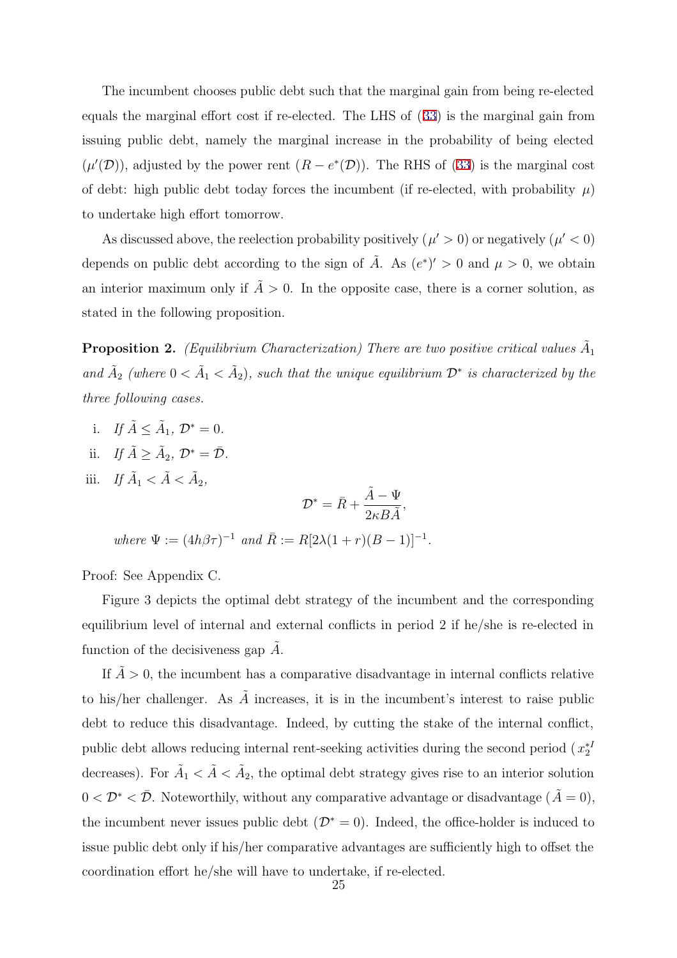The incumbent chooses public debt such that the marginal gain from being re-elected equals the marginal effort cost if re-elected. The LHS of (33) is the marginal gain from issuing public debt, namely the marginal increase in the probability of being elected  $(\mu'(\mathcal{D}))$ , adjusted by the power rent  $(R - e^*(\mathcal{D}))$ . The RHS of (33) is the marginal cost of debt: high public debt today forces the incumbent (if re-elected, with probability  $\mu$ ) to undertake high effort tomorrow.

As discussed above, the reelection probability positively  $(\mu' > 0)$  or negatively  $(\mu' < 0)$ depends on public debt according to the sign of  $\tilde{A}$ . As  $(e^*)' > 0$  and  $\mu > 0$ , we obtain an interior maximum only if  $\tilde{A} > 0$ . In the opposite case, there is a corner solution, as stated in the following proposition.

**Proposition 2.** (Equilibrium Characterization) There are two positive critical values  $\tilde{A}_1$ and  $\tilde{A}_2$  (where  $0 < \tilde{A}_1 < \tilde{A}_2$ ), such that the unique equilibrium  $\mathcal{D}^*$  is characterized by the three following cases.

- i. If  $\tilde{A} \leq \tilde{A}_1$ ,  $\mathcal{D}^* = 0$ .
- ii. If  $\tilde{A} > \tilde{A}_2$ ,  $\mathcal{D}^* = \overline{\mathcal{D}}$ .
- iii. If  $\tilde{A}_1 < \tilde{A} < \tilde{A}_2$ ,  $\mathcal{D}^* = \bar{R} +$  $\tilde{A} - \Psi$  $\frac{1}{2\kappa B\tilde{A}}$ , where  $\Psi := (4h\beta\tau)^{-1}$  and  $\bar{R} := R[2\lambda(1+r)(B-1)]^{-1}$ .

Proof: See Appendix C.

Figure 3 depicts the optimal debt strategy of the incumbent and the corresponding equilibrium level of internal and external conflicts in period 2 if he/she is re-elected in function of the decisiveness gap  $A$ .

If  $\tilde{A} > 0$ , the incumbent has a comparative disadvantage in internal conflicts relative to his/her challenger. As  $\tilde{A}$  increases, it is in the incumbent's interest to raise public debt to reduce this disadvantage. Indeed, by cutting the stake of the internal conflict, public debt allows reducing internal rent-seeking activities during the second period  $(x_2^{*I})$ decreases). For  $\tilde{A}_1 < \tilde{A} < \tilde{A}_2$ , the optimal debt strategy gives rise to an interior solution  $0 < \mathcal{D}^* < \bar{\mathcal{D}}$ . Noteworthily, without any comparative advantage or disadvantage  $(\tilde{A} = 0)$ , the incumbent never issues public debt ( $\mathcal{D}^* = 0$ ). Indeed, the office-holder is induced to issue public debt only if his/her comparative advantages are sufficiently high to offset the coordination effort he/she will have to undertake, if re-elected.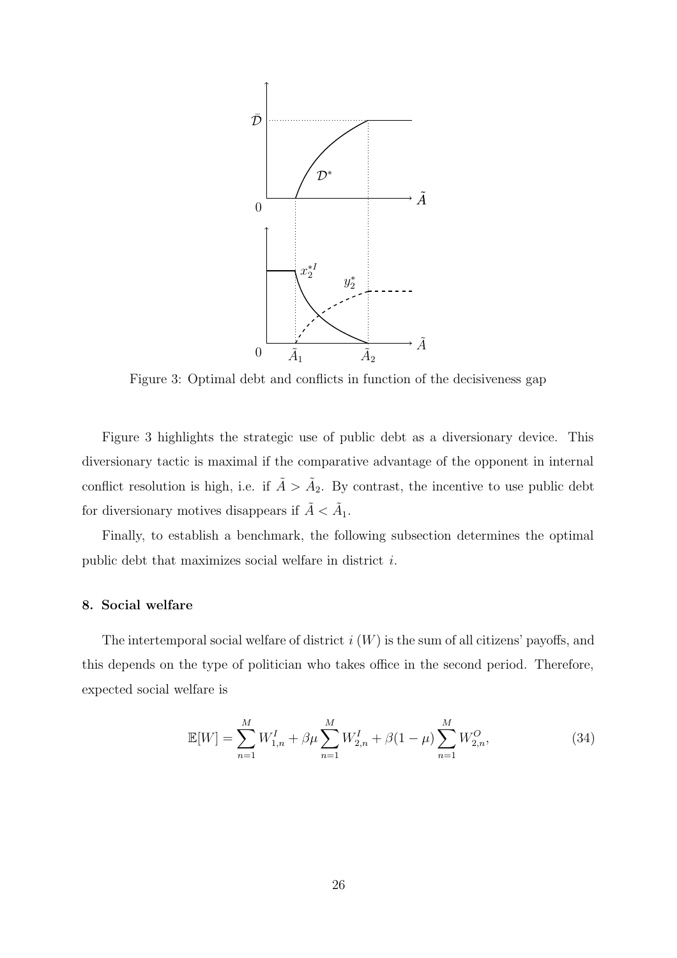

Figure 3: Optimal debt and conflicts in function of the decisiveness gap

Figure 3 highlights the strategic use of public debt as a diversionary device. This diversionary tactic is maximal if the comparative advantage of the opponent in internal conflict resolution is high, i.e. if  $\tilde{A} > \tilde{A}_2$ . By contrast, the incentive to use public debt for diversionary motives disappears if  $\tilde{A}<\tilde{A}_1.$ 

Finally, to establish a benchmark, the following subsection determines the optimal public debt that maximizes social welfare in district i.

## 8. Social welfare

The intertemporal social welfare of district  $i(W)$  is the sum of all citizens' payoffs, and this depends on the type of politician who takes office in the second period. Therefore, expected social welfare is

$$
\mathbb{E}[W] = \sum_{n=1}^{M} W_{1,n}^I + \beta \mu \sum_{n=1}^{M} W_{2,n}^I + \beta (1 - \mu) \sum_{n=1}^{M} W_{2,n}^O,
$$
 (34)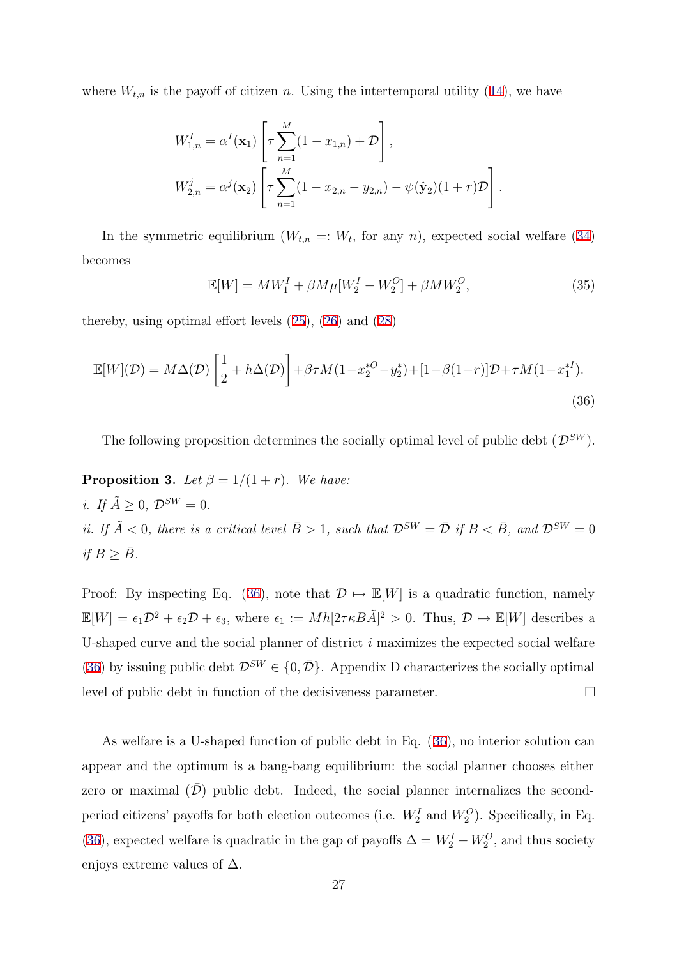where  $W_{t,n}$  is the payoff of citizen n. Using the intertemporal utility (14), we have

$$
W_{1,n}^I = \alpha^I(\mathbf{x}_1) \left[ \tau \sum_{n=1}^M (1 - x_{1,n}) + \mathcal{D} \right],
$$
  
\n
$$
W_{2,n}^j = \alpha^j(\mathbf{x}_2) \left[ \tau \sum_{n=1}^M (1 - x_{2,n} - y_{2,n}) - \psi(\hat{\mathbf{y}}_2)(1+r)\mathcal{D} \right].
$$

In the symmetric equilibrium  $(W_{t,n} =: W_t$ , for any n), expected social welfare (34) becomes

$$
\mathbb{E}[W] = MW_1^I + \beta M \mu [W_2^I - W_2^O] + \beta M W_2^O,
$$
\n(35)

thereby, using optimal effort levels (25), (26) and (28)

$$
\mathbb{E}[W](\mathcal{D}) = M\Delta(\mathcal{D}) \left[ \frac{1}{2} + h\Delta(\mathcal{D}) \right] + \beta \tau M (1 - x_2^{*O} - y_2^*) + [1 - \beta(1+r)] \mathcal{D} + \tau M (1 - x_1^{*I}).
$$
\n(36)

The following proposition determines the socially optimal level of public debt  $(\mathcal{D}^{SW})$ .

**Proposition 3.** Let  $\beta = 1/(1+r)$ . We have: i. If  $\tilde{A} \geq 0$ ,  $\mathcal{D}^{SW} = 0$ . ii. If  $\tilde{A} < 0$ , there is a critical level  $\bar{B} > 1$ , such that  $\mathcal{D}^{SW} = \bar{\mathcal{D}}$  if  $B < \bar{B}$ , and  $\mathcal{D}^{SW} = 0$ if  $B \geq \bar{B}$ .

Proof: By inspecting Eq. (36), note that  $\mathcal{D} \mapsto \mathbb{E}[W]$  is a quadratic function, namely  $\mathbb{E}[W] = \epsilon_1 \mathcal{D}^2 + \epsilon_2 \mathcal{D} + \epsilon_3$ , where  $\epsilon_1 := Mh[2\tau \kappa B\tilde{A}]^2 > 0$ . Thus,  $\mathcal{D} \mapsto \mathbb{E}[W]$  describes a U-shaped curve and the social planner of district i maximizes the expected social welfare (36) by issuing public debt  $\mathcal{D}^{SW} \in \{0, \bar{\mathcal{D}}\}\$ . Appendix D characterizes the socially optimal level of public debt in function of the decisiveness parameter.

As welfare is a U-shaped function of public debt in Eq. (36), no interior solution can appear and the optimum is a bang-bang equilibrium: the social planner chooses either zero or maximal  $(\bar{\mathcal{D}})$  public debt. Indeed, the social planner internalizes the secondperiod citizens' payoffs for both election outcomes (i.e.  $W_2^I$  and  $W_2^O$ ). Specifically, in Eq. (36), expected welfare is quadratic in the gap of payoffs  $\Delta = W_2^I - W_2^O$ , and thus society enjoys extreme values of  $\Delta$ .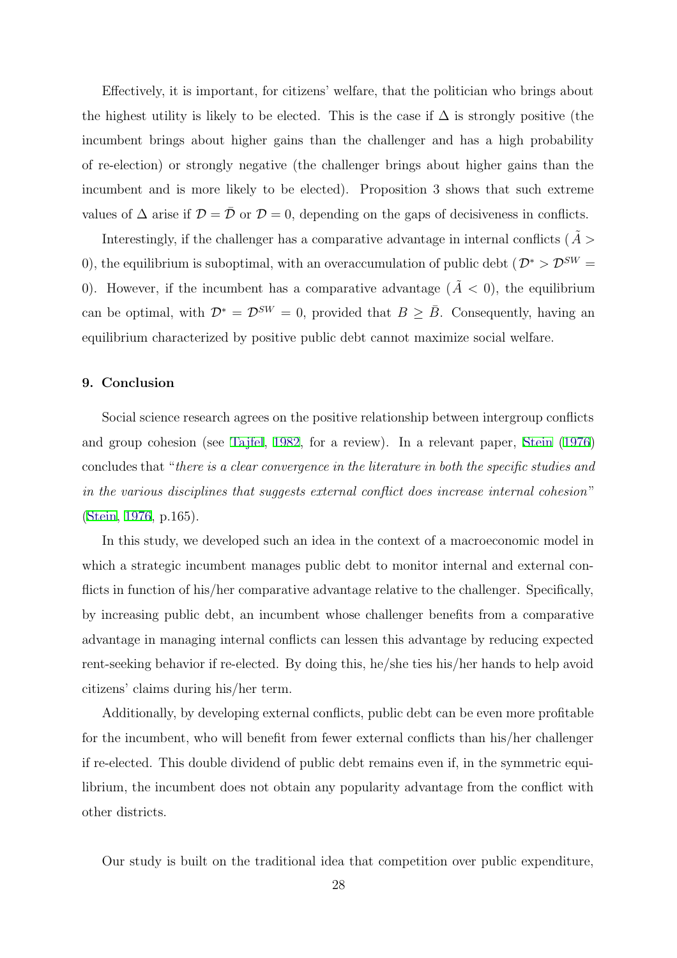Effectively, it is important, for citizens' welfare, that the politician who brings about the highest utility is likely to be elected. This is the case if  $\Delta$  is strongly positive (the incumbent brings about higher gains than the challenger and has a high probability of re-election) or strongly negative (the challenger brings about higher gains than the incumbent and is more likely to be elected). Proposition 3 shows that such extreme values of  $\Delta$  arise if  $\mathcal{D} = \bar{\mathcal{D}}$  or  $\mathcal{D} = 0$ , depending on the gaps of decisiveness in conflicts.

Interestingly, if the challenger has a comparative advantage in internal conflicts ( $A >$ 0), the equilibrium is suboptimal, with an overaccumulation of public debt ( $\mathcal{D}^* > \mathcal{D}^{SW} =$ 0). However, if the incumbent has a comparative advantage  $(\tilde{A} < 0)$ , the equilibrium can be optimal, with  $\mathcal{D}^* = \mathcal{D}^{SW} = 0$ , provided that  $B \geq \overline{B}$ . Consequently, having an equilibrium characterized by positive public debt cannot maximize social welfare.

#### 9. Conclusion

Social science research agrees on the positive relationship between intergroup conflicts and group cohesion (see Tajfel, 1982, for a review). In a relevant paper, Stein (1976) concludes that "there is a clear convergence in the literature in both the specific studies and in the various disciplines that suggests external conflict does increase internal cohesion" (Stein, 1976, p.165).

In this study, we developed such an idea in the context of a macroeconomic model in which a strategic incumbent manages public debt to monitor internal and external conflicts in function of his/her comparative advantage relative to the challenger. Specifically, by increasing public debt, an incumbent whose challenger benefits from a comparative advantage in managing internal conflicts can lessen this advantage by reducing expected rent-seeking behavior if re-elected. By doing this, he/she ties his/her hands to help avoid citizens' claims during his/her term.

Additionally, by developing external conflicts, public debt can be even more profitable for the incumbent, who will benefit from fewer external conflicts than his/her challenger if re-elected. This double dividend of public debt remains even if, in the symmetric equilibrium, the incumbent does not obtain any popularity advantage from the conflict with other districts.

Our study is built on the traditional idea that competition over public expenditure,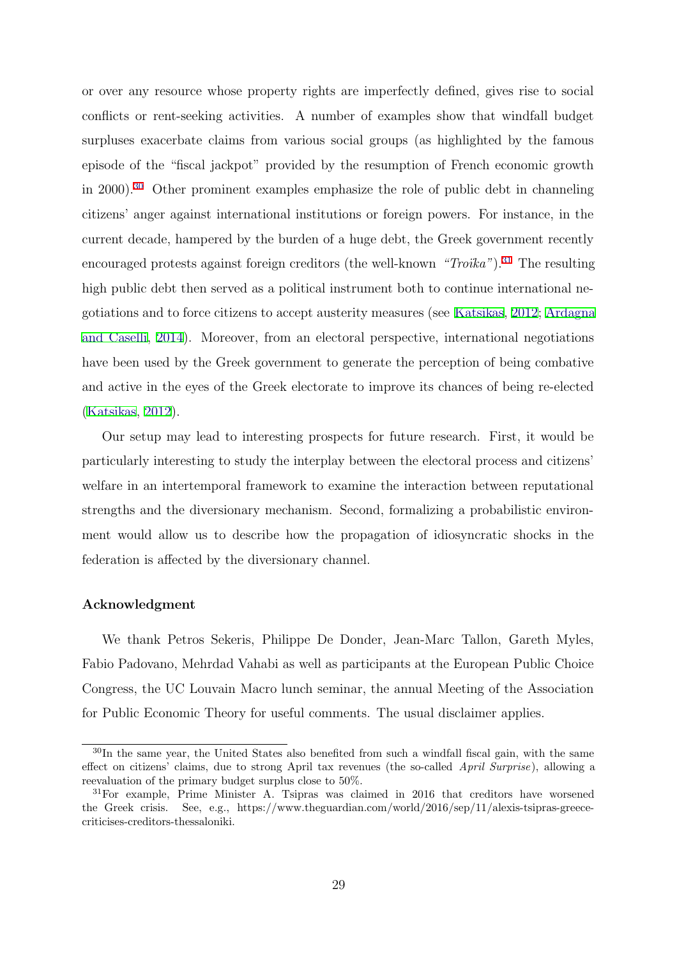or over any resource whose property rights are imperfectly defined, gives rise to social conflicts or rent-seeking activities. A number of examples show that windfall budget surpluses exacerbate claims from various social groups (as highlighted by the famous episode of the "fiscal jackpot" provided by the resumption of French economic growth in 2000).<sup>30</sup> Other prominent examples emphasize the role of public debt in channeling citizens' anger against international institutions or foreign powers. For instance, in the current decade, hampered by the burden of a huge debt, the Greek government recently encouraged protests against foreign creditors (the well-known " $Troika$ ").<sup>31</sup> The resulting high public debt then served as a political instrument both to continue international negotiations and to force citizens to accept austerity measures (see Katsikas, 2012; Ardagna and Caselli, 2014). Moreover, from an electoral perspective, international negotiations have been used by the Greek government to generate the perception of being combative and active in the eyes of the Greek electorate to improve its chances of being re-elected (Katsikas, 2012).

Our setup may lead to interesting prospects for future research. First, it would be particularly interesting to study the interplay between the electoral process and citizens' welfare in an intertemporal framework to examine the interaction between reputational strengths and the diversionary mechanism. Second, formalizing a probabilistic environment would allow us to describe how the propagation of idiosyncratic shocks in the federation is affected by the diversionary channel.

#### Acknowledgment

We thank Petros Sekeris, Philippe De Donder, Jean-Marc Tallon, Gareth Myles, Fabio Padovano, Mehrdad Vahabi as well as participants at the European Public Choice Congress, the UC Louvain Macro lunch seminar, the annual Meeting of the Association for Public Economic Theory for useful comments. The usual disclaimer applies.

<sup>30</sup>In the same year, the United States also benefited from such a windfall fiscal gain, with the same effect on citizens' claims, due to strong April tax revenues (the so-called April Surprise), allowing a reevaluation of the primary budget surplus close to 50%.

<sup>31</sup>For example, Prime Minister A. Tsipras was claimed in 2016 that creditors have worsened the Greek crisis. See, e.g., https://www.theguardian.com/world/2016/sep/11/alexis-tsipras-greececriticises-creditors-thessaloniki.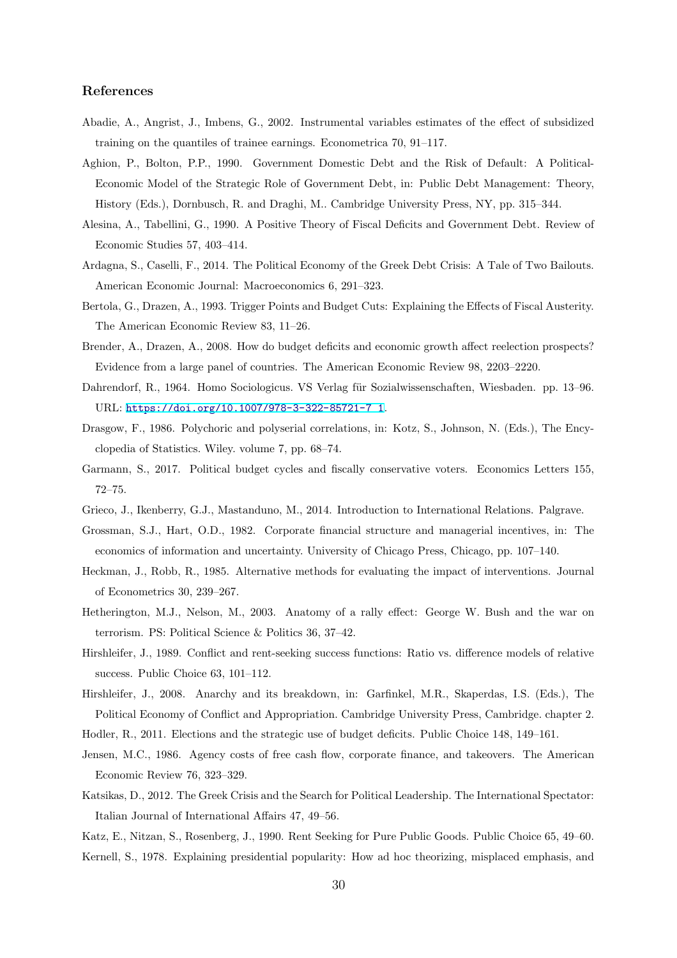#### References

- Abadie, A., Angrist, J., Imbens, G., 2002. Instrumental variables estimates of the effect of subsidized training on the quantiles of trainee earnings. Econometrica 70, 91–117.
- Aghion, P., Bolton, P.P., 1990. Government Domestic Debt and the Risk of Default: A Political-Economic Model of the Strategic Role of Government Debt, in: Public Debt Management: Theory, History (Eds.), Dornbusch, R. and Draghi, M.. Cambridge University Press, NY, pp. 315–344.
- Alesina, A., Tabellini, G., 1990. A Positive Theory of Fiscal Deficits and Government Debt. Review of Economic Studies 57, 403–414.
- Ardagna, S., Caselli, F., 2014. The Political Economy of the Greek Debt Crisis: A Tale of Two Bailouts. American Economic Journal: Macroeconomics 6, 291–323.
- Bertola, G., Drazen, A., 1993. Trigger Points and Budget Cuts: Explaining the Effects of Fiscal Austerity. The American Economic Review 83, 11–26.
- Brender, A., Drazen, A., 2008. How do budget deficits and economic growth affect reelection prospects? Evidence from a large panel of countries. The American Economic Review 98, 2203–2220.
- Dahrendorf, R., 1964. Homo Sociologicus. VS Verlag für Sozialwissenschaften, Wiesbaden. pp. 13–96. URL: https://doi.org/10.1007/978-3-322-85721-7\_1.
- Drasgow, F., 1986. Polychoric and polyserial correlations, in: Kotz, S., Johnson, N. (Eds.), The Encyclopedia of Statistics. Wiley. volume 7, pp. 68–74.
- Garmann, S., 2017. Political budget cycles and fiscally conservative voters. Economics Letters 155, 72–75.
- Grieco, J., Ikenberry, G.J., Mastanduno, M., 2014. Introduction to International Relations. Palgrave.
- Grossman, S.J., Hart, O.D., 1982. Corporate financial structure and managerial incentives, in: The economics of information and uncertainty. University of Chicago Press, Chicago, pp. 107–140.
- Heckman, J., Robb, R., 1985. Alternative methods for evaluating the impact of interventions. Journal of Econometrics 30, 239–267.
- Hetherington, M.J., Nelson, M., 2003. Anatomy of a rally effect: George W. Bush and the war on terrorism. PS: Political Science & Politics 36, 37–42.
- Hirshleifer, J., 1989. Conflict and rent-seeking success functions: Ratio vs. difference models of relative success. Public Choice 63, 101–112.
- Hirshleifer, J., 2008. Anarchy and its breakdown, in: Garfinkel, M.R., Skaperdas, I.S. (Eds.), The Political Economy of Conflict and Appropriation. Cambridge University Press, Cambridge. chapter 2.

Hodler, R., 2011. Elections and the strategic use of budget deficits. Public Choice 148, 149–161.

- Jensen, M.C., 1986. Agency costs of free cash flow, corporate finance, and takeovers. The American Economic Review 76, 323–329.
- Katsikas, D., 2012. The Greek Crisis and the Search for Political Leadership. The International Spectator: Italian Journal of International Affairs 47, 49–56.

Katz, E., Nitzan, S., Rosenberg, J., 1990. Rent Seeking for Pure Public Goods. Public Choice 65, 49–60. Kernell, S., 1978. Explaining presidential popularity: How ad hoc theorizing, misplaced emphasis, and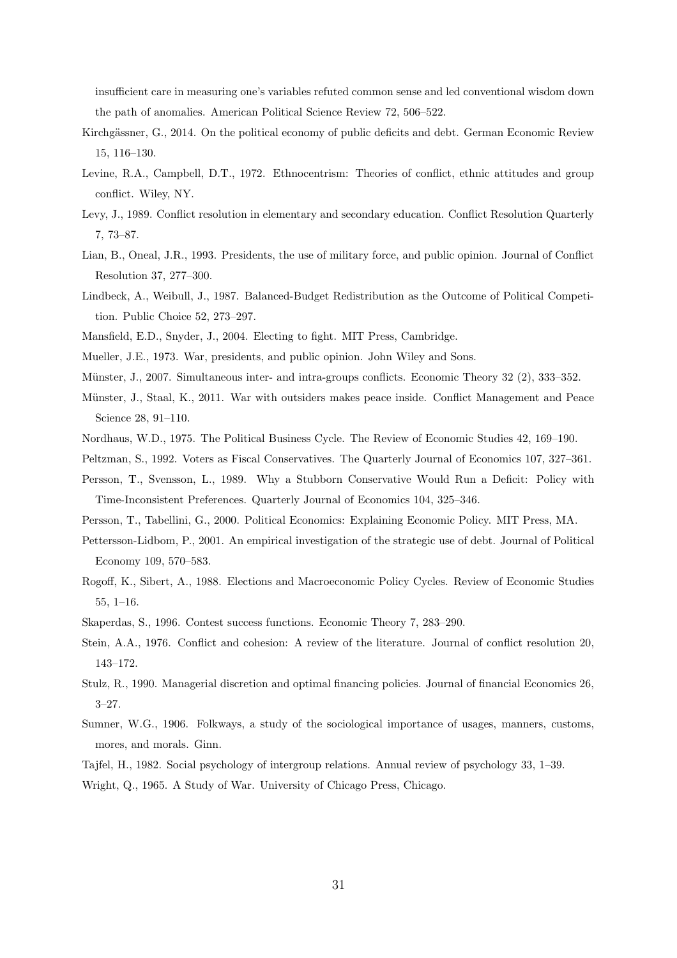insufficient care in measuring one's variables refuted common sense and led conventional wisdom down the path of anomalies. American Political Science Review 72, 506–522.

- Kirchgässner, G., 2014. On the political economy of public deficits and debt. German Economic Review 15, 116–130.
- Levine, R.A., Campbell, D.T., 1972. Ethnocentrism: Theories of conflict, ethnic attitudes and group conflict. Wiley, NY.
- Levy, J., 1989. Conflict resolution in elementary and secondary education. Conflict Resolution Quarterly 7, 73–87.
- Lian, B., Oneal, J.R., 1993. Presidents, the use of military force, and public opinion. Journal of Conflict Resolution 37, 277–300.
- Lindbeck, A., Weibull, J., 1987. Balanced-Budget Redistribution as the Outcome of Political Competition. Public Choice 52, 273–297.
- Mansfield, E.D., Snyder, J., 2004. Electing to fight. MIT Press, Cambridge.
- Mueller, J.E., 1973. War, presidents, and public opinion. John Wiley and Sons.
- Münster, J., 2007. Simultaneous inter- and intra-groups conflicts. Economic Theory 32 (2), 333–352.
- Münster, J., Staal, K., 2011. War with outsiders makes peace inside. Conflict Management and Peace Science 28, 91–110.
- Nordhaus, W.D., 1975. The Political Business Cycle. The Review of Economic Studies 42, 169–190.
- Peltzman, S., 1992. Voters as Fiscal Conservatives. The Quarterly Journal of Economics 107, 327–361.
- Persson, T., Svensson, L., 1989. Why a Stubborn Conservative Would Run a Deficit: Policy with Time-Inconsistent Preferences. Quarterly Journal of Economics 104, 325–346.
- Persson, T., Tabellini, G., 2000. Political Economics: Explaining Economic Policy. MIT Press, MA.
- Pettersson-Lidbom, P., 2001. An empirical investigation of the strategic use of debt. Journal of Political Economy 109, 570–583.
- Rogoff, K., Sibert, A., 1988. Elections and Macroeconomic Policy Cycles. Review of Economic Studies 55, 1–16.
- Skaperdas, S., 1996. Contest success functions. Economic Theory 7, 283–290.
- Stein, A.A., 1976. Conflict and cohesion: A review of the literature. Journal of conflict resolution 20, 143–172.
- Stulz, R., 1990. Managerial discretion and optimal financing policies. Journal of financial Economics 26, 3–27.
- Sumner, W.G., 1906. Folkways, a study of the sociological importance of usages, manners, customs, mores, and morals. Ginn.
- Tajfel, H., 1982. Social psychology of intergroup relations. Annual review of psychology 33, 1–39.
- Wright, Q., 1965. A Study of War. University of Chicago Press, Chicago.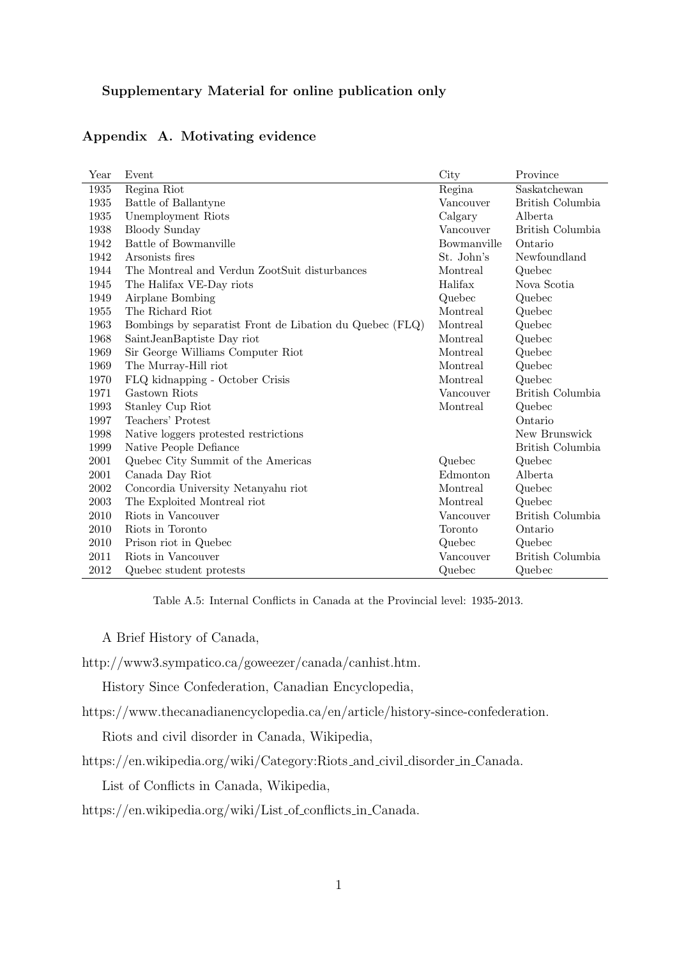## Supplementary Material for online publication only

| Year | Event                                                    | City        | Province         |
|------|----------------------------------------------------------|-------------|------------------|
| 1935 | Regina Riot                                              | Regina      | Saskatchewan     |
| 1935 | Battle of Ballantyne                                     | Vancouver   | British Columbia |
| 1935 | Unemployment Riots                                       | Calgary     | Alberta          |
| 1938 | <b>Bloody Sunday</b>                                     | Vancouver   | British Columbia |
| 1942 | Battle of Bowmanville                                    | Bowmanville | Ontario          |
| 1942 | Arsonists fires                                          | St. John's  | Newfoundland     |
| 1944 | The Montreal and Verdun ZootSuit disturbances            | Montreal    | Quebec           |
| 1945 | The Halifax VE-Day riots                                 | Halifax     | Nova Scotia      |
| 1949 | Airplane Bombing                                         | Quebec      | Quebec           |
| 1955 | The Richard Riot                                         | Montreal    | Quebec           |
| 1963 | Bombings by separatist Front de Libation du Quebec (FLQ) | Montreal    | Quebec           |
| 1968 | Saint Jean Baptiste Day riot                             | Montreal    | Quebec           |
| 1969 | Sir George Williams Computer Riot                        | Montreal    | Quebec           |
| 1969 | The Murray-Hill riot                                     | Montreal    | Quebec           |
| 1970 | FLQ kidnapping - October Crisis                          | Montreal    | Quebec           |
| 1971 | Gastown Riots                                            | Vancouver   | British Columbia |
| 1993 | Stanley Cup Riot                                         | Montreal    | Quebec           |
| 1997 | Teachers' Protest                                        |             | Ontario          |
| 1998 | Native loggers protested restrictions                    |             | New Brunswick    |
| 1999 | Native People Defiance                                   |             | British Columbia |
| 2001 | Quebec City Summit of the Americas                       | Quebec      | Quebec           |
| 2001 | Canada Day Riot                                          | Edmonton    | Alberta          |
| 2002 | Concordia University Netanyahu riot                      | Montreal    | Quebec           |
| 2003 | The Exploited Montreal riot                              | Montreal    | Quebec           |
| 2010 | Riots in Vancouver                                       | Vancouver   | British Columbia |
| 2010 | Riots in Toronto                                         | Toronto     | Ontario          |
| 2010 | Prison riot in Quebec                                    | Quebec      | Quebec           |
| 2011 | Riots in Vancouver                                       | Vancouver   | British Columbia |
| 2012 | Quebec student protests                                  | Quebec      | Quebec           |

## Appendix A. Motivating evidence

Table A.5: Internal Conflicts in Canada at the Provincial level: 1935-2013.

A Brief History of Canada,

http://www3.sympatico.ca/goweezer/canada/canhist.htm.

History Since Confederation, Canadian Encyclopedia,

https://www.thecanadianencyclopedia.ca/en/article/history-since-confederation.

Riots and civil disorder in Canada, Wikipedia,

https://en.wikipedia.org/wiki/Category:Riots and civil disorder in Canada.

List of Conflicts in Canada, Wikipedia,

https://en.wikipedia.org/wiki/List of conflicts in Canada.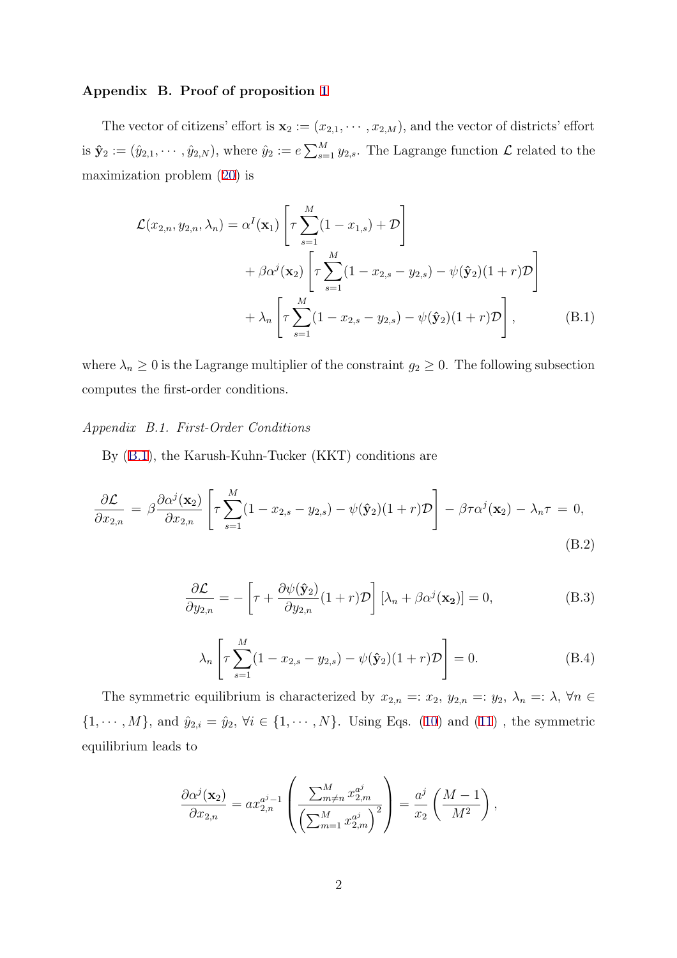#### Appendix B. Proof of proposition 1

The vector of citizens' effort is  $\mathbf{x}_2 := (x_{2,1}, \dots, x_{2,M})$ , and the vector of districts' effort is  $\hat{\mathbf{y}}_2 := (\hat{y}_{2,1}, \dots, \hat{y}_{2,N})$ , where  $\hat{y}_2 := e \sum_{s=1}^M y_{2,s}$ . The Lagrange function  $\mathcal{L}$  related to the maximization problem (20) is

$$
\mathcal{L}(x_{2,n}, y_{2,n}, \lambda_n) = \alpha^I(\mathbf{x}_1) \left[ \tau \sum_{s=1}^M (1 - x_{1,s}) + \mathcal{D} \right] \n+ \beta \alpha^j(\mathbf{x}_2) \left[ \tau \sum_{s=1}^M (1 - x_{2,s} - y_{2,s}) - \psi(\hat{\mathbf{y}}_2)(1+r) \mathcal{D} \right] \n+ \lambda_n \left[ \tau \sum_{s=1}^M (1 - x_{2,s} - y_{2,s}) - \psi(\hat{\mathbf{y}}_2)(1+r) \mathcal{D} \right],
$$
\n(B.1)

where  $\lambda_n \geq 0$  is the Lagrange multiplier of the constraint  $g_2 \geq 0$ . The following subsection computes the first-order conditions.

Appendix B.1. First-Order Conditions

By (B.1), the Karush-Kuhn-Tucker (KKT) conditions are

$$
\frac{\partial \mathcal{L}}{\partial x_{2,n}} = \beta \frac{\partial \alpha^j(\mathbf{x}_2)}{\partial x_{2,n}} \left[ \tau \sum_{s=1}^M (1 - x_{2,s} - y_{2,s}) - \psi(\hat{\mathbf{y}}_2)(1+r) \mathcal{D} \right] - \beta \tau \alpha^j(\mathbf{x}_2) - \lambda_n \tau = 0,
$$
\n(B.2)

$$
\frac{\partial \mathcal{L}}{\partial y_{2,n}} = -\left[\tau + \frac{\partial \psi(\hat{\mathbf{y}}_2)}{\partial y_{2,n}}(1+r)\mathcal{D}\right] \left[\lambda_n + \beta \alpha^j(\mathbf{x}_2)\right] = 0,\tag{B.3}
$$

$$
\lambda_n \left[ \tau \sum_{s=1}^M (1 - x_{2,s} - y_{2,s}) - \psi(\hat{\mathbf{y}}_2)(1+r) \mathcal{D} \right] = 0.
$$
 (B.4)

The symmetric equilibrium is characterized by  $x_{2,n} =: x_2, y_{2,n} =: y_2, \lambda_n =: \lambda, \forall n \in \mathbb{R}$  $\{1, \dots, M\}$ , and  $\hat{y}_{2,i} = \hat{y}_2, \forall i \in \{1, \dots, N\}$ . Using Eqs. (10) and (11), the symmetric equilibrium leads to

$$
\frac{\partial \alpha^j(\mathbf{x}_2)}{\partial x_{2,n}} = ax_{2,n}^{a^j-1} \left( \frac{\sum_{m \neq n}^M x_{2,m}^{a^j}}{\left(\sum_{m=1}^M x_{2,m}^{a^j}\right)^2} \right) = \frac{a^j}{x_2} \left(\frac{M-1}{M^2}\right),
$$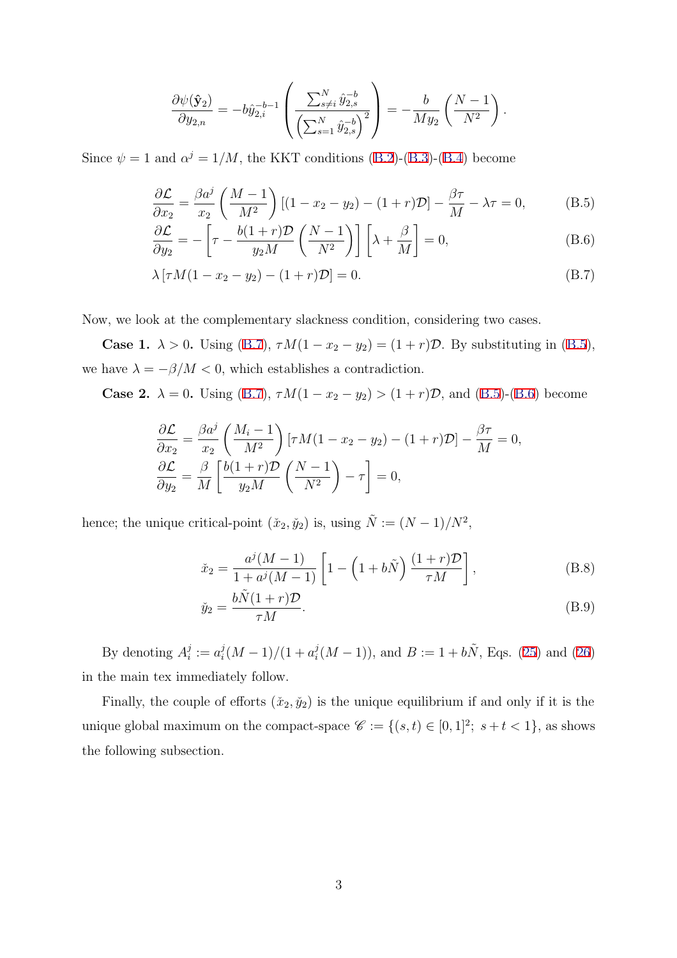$$
\frac{\partial \psi(\hat{\mathbf{y}}_2)}{\partial y_{2,n}} = -b \hat{y}_{2,i}^{-b-1} \left( \frac{\sum_{s \neq i}^N \hat{y}_{2,s}^{-b}}{\left(\sum_{s=1}^N \hat{y}_{2,s}^{-b}\right)^2} \right) = -\frac{b}{M y_2} \left( \frac{N-1}{N^2} \right).
$$

Since  $\psi = 1$  and  $\alpha^{j} = 1/M$ , the KKT conditions (B.2)-(B.3)-(B.4) become

$$
\frac{\partial \mathcal{L}}{\partial x_2} = \frac{\beta a^j}{x_2} \left( \frac{M-1}{M^2} \right) \left[ (1 - x_2 - y_2) - (1+r)\mathcal{D} \right] - \frac{\beta \tau}{M} - \lambda \tau = 0, \tag{B.5}
$$

$$
\frac{\partial \mathcal{L}}{\partial y_2} = -\left[\tau - \frac{b(1+r)\mathcal{D}}{y_2 M} \left(\frac{N-1}{N^2}\right)\right] \left[\lambda + \frac{\beta}{M}\right] = 0,\tag{B.6}
$$

$$
\lambda [\tau M (1 - x_2 - y_2) - (1 + r) \mathcal{D}] = 0.
$$
 (B.7)

Now, we look at the complementary slackness condition, considering two cases.

**Case 1.**  $\lambda > 0$ . Using (B.7),  $\tau M(1 - x_2 - y_2) = (1 + r)\mathcal{D}$ . By substituting in (B.5), we have  $\lambda = -\beta/M < 0$ , which establishes a contradiction.

**Case 2.**  $\lambda = 0$ . Using (B.7),  $\tau M(1 - x_2 - y_2) > (1 + r)\mathcal{D}$ , and (B.5)-(B.6) become

$$
\frac{\partial \mathcal{L}}{\partial x_2} = \frac{\beta a^j}{x_2} \left( \frac{M_i - 1}{M^2} \right) \left[ \tau M (1 - x_2 - y_2) - (1 + r) \mathcal{D} \right] - \frac{\beta \tau}{M} = 0,
$$
  

$$
\frac{\partial \mathcal{L}}{\partial y_2} = \frac{\beta}{M} \left[ \frac{b(1+r)\mathcal{D}}{y_2 M} \left( \frac{N-1}{N^2} \right) - \tau \right] = 0,
$$

hence; the unique critical-point  $(\check{x}_2, \check{y}_2)$  is, using  $\tilde{N} := (N-1)/N^2$ ,

$$
\tilde{x}_2 = \frac{a^j(M-1)}{1 + a^j(M-1)} \left[ 1 - \left( 1 + b\tilde{N} \right) \frac{(1+r)\mathcal{D}}{\tau M} \right],
$$
\n(B.8)

$$
\check{y}_2 = \frac{b\tilde{N}(1+r)\mathcal{D}}{\tau M}.\tag{B.9}
$$

By denoting  $A_i^j := a_i^j (M-1)/(1 + a_i^j (M-1))$ , and  $B := 1 + b\tilde{N}$ , Eqs. (25) and (26) in the main tex immediately follow.

Finally, the couple of efforts  $(\check{x}_2, \check{y}_2)$  is the unique equilibrium if and only if it is the unique global maximum on the compact-space  $\mathscr{C} := \{(s, t) \in [0, 1]^2; s + t < 1\}$ , as shows the following subsection.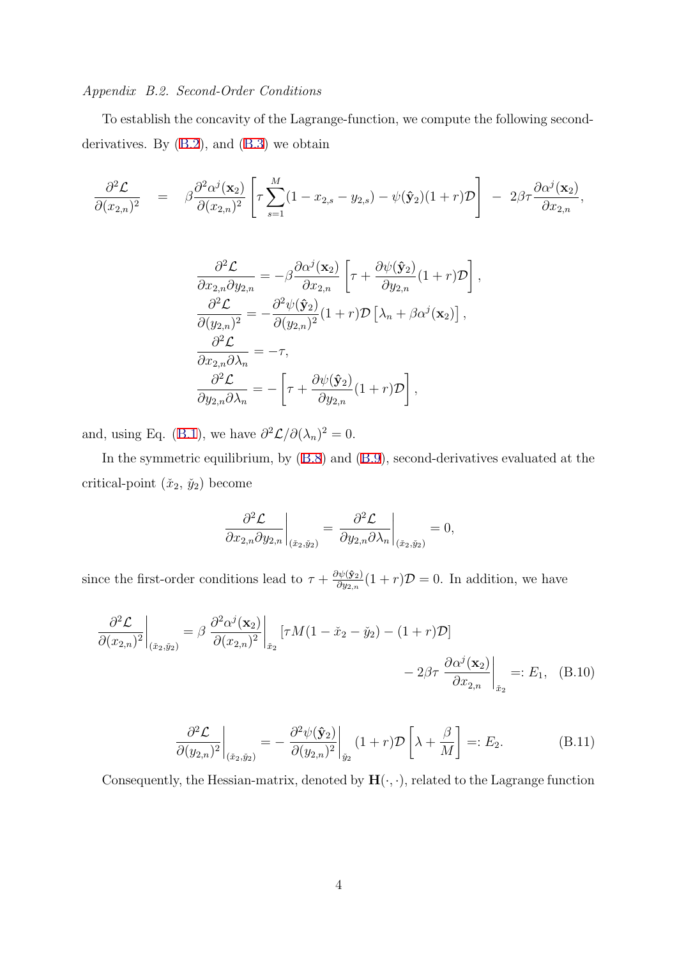#### Appendix B.2. Second-Order Conditions

To establish the concavity of the Lagrange-function, we compute the following secondderivatives. By (B.2), and (B.3) we obtain

$$
\frac{\partial^2 \mathcal{L}}{\partial (x_{2,n})^2} = \beta \frac{\partial^2 \alpha^j(\mathbf{x}_2)}{\partial (x_{2,n})^2} \left[ \tau \sum_{s=1}^M (1 - x_{2,s} - y_{2,s}) - \psi(\mathbf{\hat{y}}_2)(1+r) \mathcal{D} \right] - 2\beta \tau \frac{\partial \alpha^j(\mathbf{x}_2)}{\partial x_{2,n}},
$$

$$
\frac{\partial^2 \mathcal{L}}{\partial x_{2,n} \partial y_{2,n}} = -\beta \frac{\partial \alpha^j(\mathbf{x}_2)}{\partial x_{2,n}} \left[ \tau + \frac{\partial \psi(\hat{\mathbf{y}}_2)}{\partial y_{2,n}} (1+r) \mathcal{D} \right]
$$

$$
\frac{\partial^2 \mathcal{L}}{\partial (y_{2,n})^2} = -\frac{\partial^2 \psi(\hat{\mathbf{y}}_2)}{\partial (y_{2,n})^2} (1+r) \mathcal{D} \left[ \lambda_n + \beta \alpha^j(\mathbf{x}_2) \right],
$$

$$
\frac{\partial^2 \mathcal{L}}{\partial x_{2,n} \partial \lambda_n} = -\tau,
$$

$$
\frac{\partial^2 \mathcal{L}}{\partial y_{2,n} \partial \lambda_n} = -\left[ \tau + \frac{\partial \psi(\hat{\mathbf{y}}_2)}{\partial y_{2,n}} (1+r) \mathcal{D} \right],
$$

,

and, using Eq. (B.1), we have  $\partial^2 \mathcal{L}/\partial(\lambda_n)^2 = 0$ .

In the symmetric equilibrium, by (B.8) and (B.9), second-derivatives evaluated at the critical-point  $(\check{x}_2, \check{y}_2)$  become

$$
\left. \frac{\partial^2 \mathcal{L}}{\partial x_{2,n} \partial y_{2,n}} \right|_{(\check{x}_2, \check{y}_2)} = \left. \frac{\partial^2 \mathcal{L}}{\partial y_{2,n} \partial \lambda_n} \right|_{(\check{x}_2, \check{y}_2)} = 0,
$$

since the first-order conditions lead to  $\tau + \frac{\partial \psi(\hat{\mathbf{y}}_2)}{\partial y_{2,n}}(1+r)\mathcal{D} = 0$ . In addition, we have

$$
\frac{\partial^2 \mathcal{L}}{\partial (x_{2,n})^2} \bigg|_{(\tilde{x}_2, \tilde{y}_2)} = \beta \left. \frac{\partial^2 \alpha^j(\mathbf{x}_2)}{\partial (x_{2,n})^2} \right|_{\tilde{x}_2} [\tau M(1 - \tilde{x}_2 - \tilde{y}_2) - (1+r)\mathcal{D}]
$$

$$
- 2\beta \tau \left. \frac{\partial \alpha^j(\mathbf{x}_2)}{\partial x_{2,n}} \right|_{\tilde{x}_2} =: E_1, \quad \text{(B.10)}
$$

$$
\frac{\partial^2 \mathcal{L}}{\partial (y_{2,n})^2} \bigg|_{(\check{x}_2,\check{y}_2)} = -\frac{\partial^2 \psi(\hat{\mathbf{y}}_2)}{\partial (y_{2,n})^2} \bigg|_{\check{y}_2} (1+r) \mathcal{D} \left[ \lambda + \frac{\beta}{M} \right] =: E_2.
$$
 (B.11)

Consequently, the Hessian-matrix, denoted by  $\mathbf{H}(\cdot,\cdot),$  related to the Lagrange function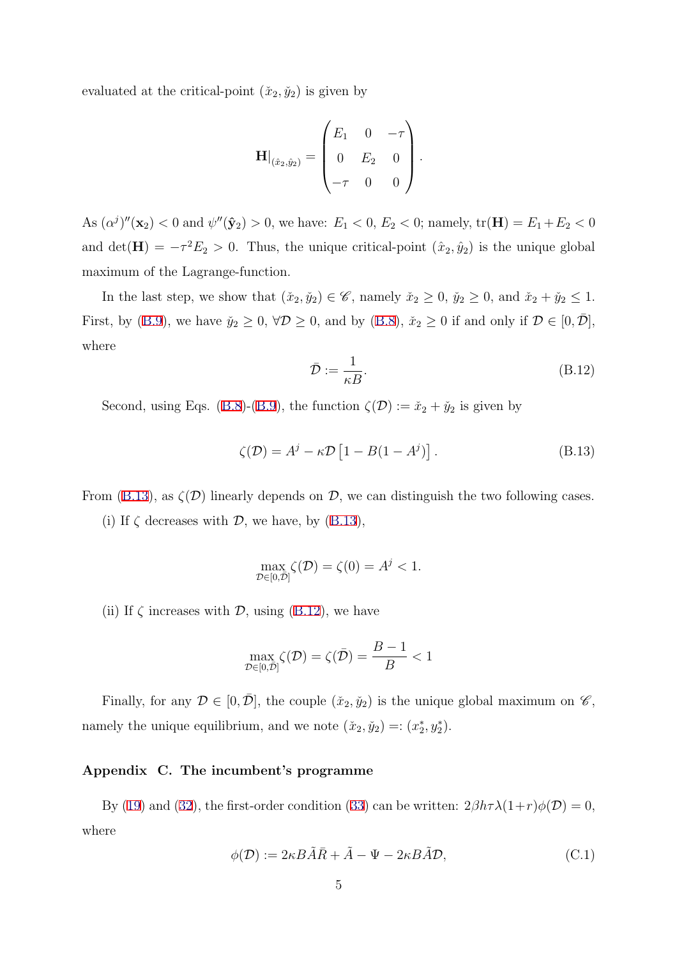evaluated at the critical-point  $(\check{x}_2, \check{y}_2)$  is given by

$$
\mathbf{H}|_{(\hat{x}_2,\hat{y}_2)} = \begin{pmatrix} E_1 & 0 & -\tau \\ 0 & E_2 & 0 \\ -\tau & 0 & 0 \end{pmatrix}.
$$

As  $(\alpha^j)''(\mathbf{x}_2) < 0$  and  $\psi''(\mathbf{\hat{y}}_2) > 0$ , we have:  $E_1 < 0$ ,  $E_2 < 0$ ; namely,  $tr(\mathbf{H}) = E_1 + E_2 < 0$ and det( $\mathbf{H}$ ) =  $-\tau^2 E_2 > 0$ . Thus, the unique critical-point  $(\hat{x}_2, \hat{y}_2)$  is the unique global maximum of the Lagrange-function.

In the last step, we show that  $(\tilde{x}_2, \tilde{y}_2) \in \mathscr{C}$ , namely  $\tilde{x}_2 \geq 0$ ,  $\tilde{y}_2 \geq 0$ , and  $\tilde{x}_2 + \tilde{y}_2 \leq 1$ . First, by (B.9), we have  $\check{y}_2 \ge 0$ ,  $\forall \mathcal{D} \ge 0$ , and by (B.8),  $\check{x}_2 \ge 0$  if and only if  $\mathcal{D} \in [0, \bar{\mathcal{D}}]$ , where

$$
\bar{\mathcal{D}} := \frac{1}{\kappa B}.\tag{B.12}
$$

Second, using Eqs. (B.8)-(B.9), the function  $\zeta(\mathcal{D}) := \check{x}_2 + \check{y}_2$  is given by

$$
\zeta(\mathcal{D}) = A^j - \kappa \mathcal{D} \left[ 1 - B(1 - A^j) \right]. \tag{B.13}
$$

From (B.13), as  $\zeta(\mathcal{D})$  linearly depends on  $\mathcal{D}$ , we can distinguish the two following cases. (i) If  $\zeta$  decreases with  $\mathcal{D}$ , we have, by (B.13),

$$
\max_{\mathcal{D}\in[0,\bar{\mathcal{D}}]} \zeta(\mathcal{D}) = \zeta(0) = A^j < 1.
$$

(ii) If  $\zeta$  increases with  $\mathcal{D}$ , using (B.12), we have

$$
\max_{\mathcal{D}\in[0,\bar{\mathcal{D}}]}\zeta(\mathcal{D})=\zeta(\bar{\mathcal{D}})=\frac{B-1}{B}<1
$$

Finally, for any  $\mathcal{D} \in [0, \bar{\mathcal{D}}]$ , the couple  $(\check{x}_2, \check{y}_2)$  is the unique global maximum on  $\mathscr{C}$ , namely the unique equilibrium, and we note  $(\check{x}_2, \check{y}_2) =: (x_2^*, y_2^*).$ 

## Appendix C. The incumbent's programme

By (19) and (32), the first-order condition (33) can be written:  $2\beta h\tau\lambda(1+r)\phi(\mathcal{D})=0$ , where

$$
\phi(\mathcal{D}) := 2\kappa \tilde{A}\tilde{A}\tilde{R} + \tilde{A} - \Psi - 2\kappa \tilde{A}\tilde{A}\mathcal{D},\tag{C.1}
$$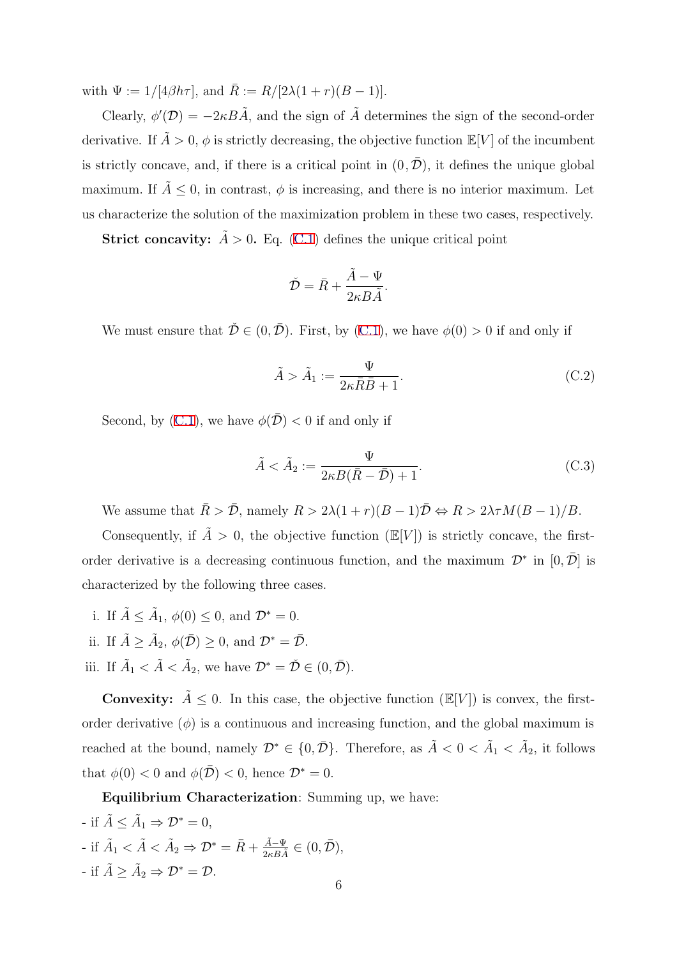with  $\Psi := 1/[4\beta h\tau]$ , and  $\bar{R} := R/[2\lambda(1+r)(B-1)]$ .

Clearly,  $\phi'(\mathcal{D}) = -2\kappa B\tilde{A}$ , and the sign of  $\tilde{A}$  determines the sign of the second-order derivative. If  $A > 0$ ,  $\phi$  is strictly decreasing, the objective function  $\mathbb{E}[V]$  of the incumbent is strictly concave, and, if there is a critical point in  $(0, \overline{D})$ , it defines the unique global maximum. If  $\tilde{A} \leq 0$ , in contrast,  $\phi$  is increasing, and there is no interior maximum. Let us characterize the solution of the maximization problem in these two cases, respectively.

**Strict concavity:**  $\tilde{A} > 0$ . Eq. (C.1) defines the unique critical point

$$
\check{\mathcal{D}} = \bar{R} + \frac{\tilde{A} - \Psi}{2\kappa B \tilde{A}}.
$$

We must ensure that  $\check{\mathcal{D}} \in (0, \bar{\mathcal{D}})$ . First, by  $(C.1)$ , we have  $\phi(0) > 0$  if and only if

$$
\tilde{A} > \tilde{A}_1 := \frac{\Psi}{2\kappa \bar{R}\bar{B} + 1}.
$$
\n(C.2)

Second, by (C.1), we have  $\phi(\bar{\mathcal{D}}) < 0$  if and only if

$$
\tilde{A} < \tilde{A}_2 := \frac{\Psi}{2\kappa B(\bar{R} - \bar{\mathcal{D}}) + 1}.\tag{C.3}
$$

We assume that  $\overline{R} > \overline{\mathcal{D}}$ , namely  $R > 2\lambda(1+r)(B-1)\overline{\mathcal{D}} \Leftrightarrow R > 2\lambda \tau M(B-1)/B$ .

Consequently, if  $\tilde{A} > 0$ , the objective function (E[V]) is strictly concave, the firstorder derivative is a decreasing continuous function, and the maximum  $\mathcal{D}^*$  in  $[0,\overline{\mathcal{D}}]$  is characterized by the following three cases.

- i. If  $\tilde{A} \leq \tilde{A}_1$ ,  $\phi(0) \leq 0$ , and  $\mathcal{D}^* = 0$ . ii. If  $\tilde{A} \ge \tilde{A}_2$ ,  $\phi(\bar{\mathcal{D}}) \ge 0$ , and  $\mathcal{D}^* = \bar{\mathcal{D}}$ .
- iii. If  $\tilde{A}_1 < \tilde{A} < \tilde{A}_2$ , we have  $\mathcal{D}^* = \check{\mathcal{D}} \in (0, \bar{\mathcal{D}})$ .
- **Convexity:**  $\tilde{A} \leq 0$ . In this case, the objective function  $(\mathbb{E}[V])$  is convex, the firstorder derivative  $(\phi)$  is a continuous and increasing function, and the global maximum is reached at the bound, namely  $\mathcal{D}^* \in \{0, \bar{\mathcal{D}}\}$ . Therefore, as  $\tilde{A} < 0 < \tilde{A}_1 < \tilde{A}_2$ , it follows that  $\phi(0) < 0$  and  $\phi(\overline{\mathcal{D}}) < 0$ , hence  $\mathcal{D}^* = 0$ .

Equilibrium Characterization: Summing up, we have:

- if  $\tilde{A} \leq \tilde{A}_1 \Rightarrow \mathcal{D}^* = 0$ , - if  $\tilde{A}_1 < \tilde{A} < \tilde{A}_2 \Rightarrow \mathcal{D}^* = \bar{R} + \frac{\tilde{A} - \Psi}{2\kappa B \tilde{A}} \in (0, \bar{\mathcal{D}}),$ - if  $\tilde{A} > \tilde{A}_2 \Rightarrow \mathcal{D}^* = \mathcal{D}$ .